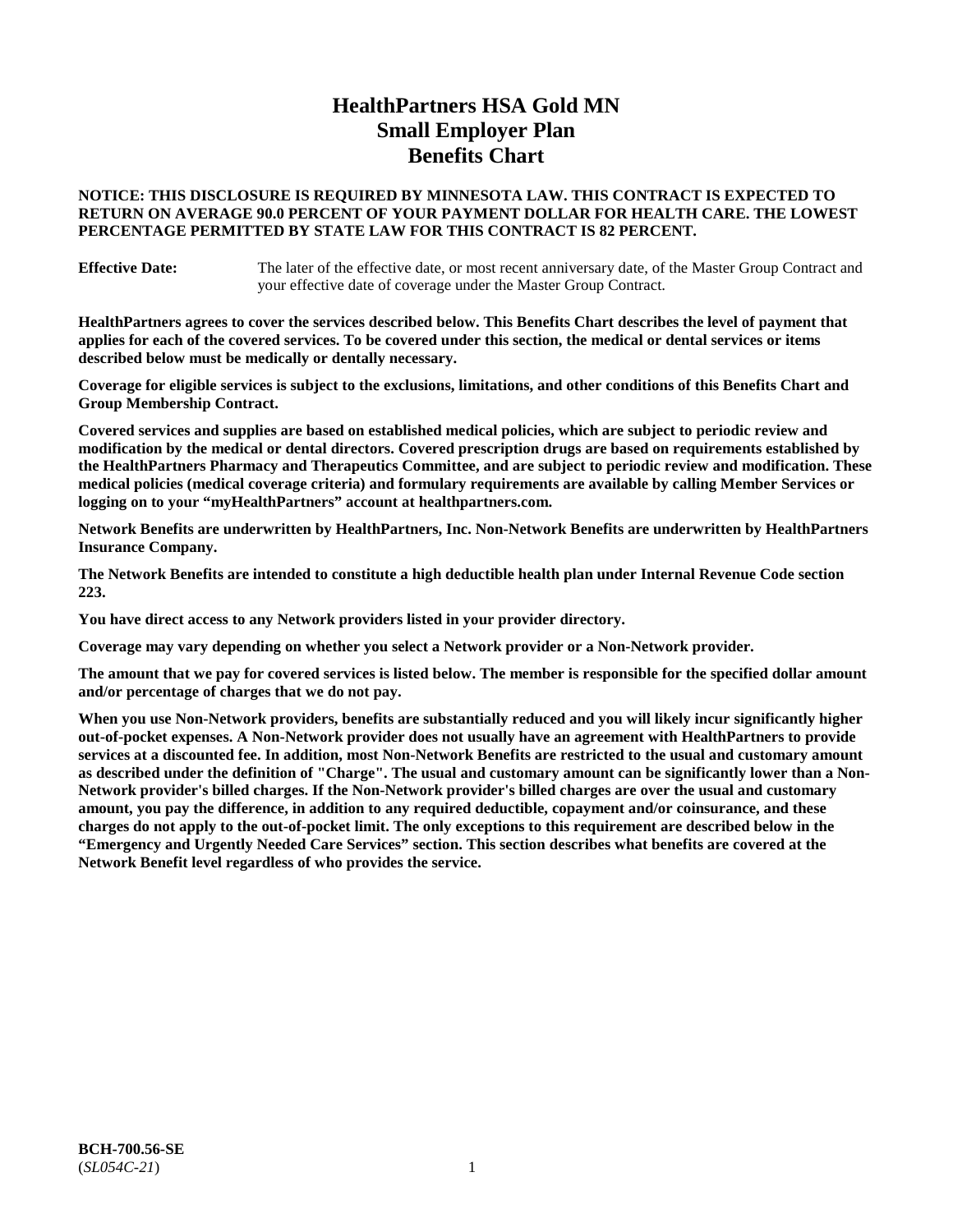# **HealthPartners HSA Gold MN Small Employer Plan Benefits Chart**

## **NOTICE: THIS DISCLOSURE IS REQUIRED BY MINNESOTA LAW. THIS CONTRACT IS EXPECTED TO RETURN ON AVERAGE 90.0 PERCENT OF YOUR PAYMENT DOLLAR FOR HEALTH CARE. THE LOWEST PERCENTAGE PERMITTED BY STATE LAW FOR THIS CONTRACT IS 82 PERCENT.**

**Effective Date:** The later of the effective date, or most recent anniversary date, of the Master Group Contract and your effective date of coverage under the Master Group Contract.

**HealthPartners agrees to cover the services described below. This Benefits Chart describes the level of payment that applies for each of the covered services. To be covered under this section, the medical or dental services or items described below must be medically or dentally necessary.**

**Coverage for eligible services is subject to the exclusions, limitations, and other conditions of this Benefits Chart and Group Membership Contract.**

**Covered services and supplies are based on established medical policies, which are subject to periodic review and modification by the medical or dental directors. Covered prescription drugs are based on requirements established by the HealthPartners Pharmacy and Therapeutics Committee, and are subject to periodic review and modification. These medical policies (medical coverage criteria) and formulary requirements are available by calling Member Services or logging on to your "myHealthPartners" account at [healthpartners.com.](https://www.healthpartners.com/hp/index.html)**

**Network Benefits are underwritten by HealthPartners, Inc. Non-Network Benefits are underwritten by HealthPartners Insurance Company.** 

**The Network Benefits are intended to constitute a high deductible health plan under Internal Revenue Code section 223.** 

**You have direct access to any Network providers listed in your provider directory.**

**Coverage may vary depending on whether you select a Network provider or a Non-Network provider.**

**The amount that we pay for covered services is listed below. The member is responsible for the specified dollar amount and/or percentage of charges that we do not pay.**

**When you use Non-Network providers, benefits are substantially reduced and you will likely incur significantly higher out-of-pocket expenses. A Non-Network provider does not usually have an agreement with HealthPartners to provide services at a discounted fee. In addition, most Non-Network Benefits are restricted to the usual and customary amount as described under the definition of "Charge". The usual and customary amount can be significantly lower than a Non-Network provider's billed charges. If the Non-Network provider's billed charges are over the usual and customary amount, you pay the difference, in addition to any required deductible, copayment and/or coinsurance, and these charges do not apply to the out-of-pocket limit. The only exceptions to this requirement are described below in the "Emergency and Urgently Needed Care Services" section. This section describes what benefits are covered at the Network Benefit level regardless of who provides the service.**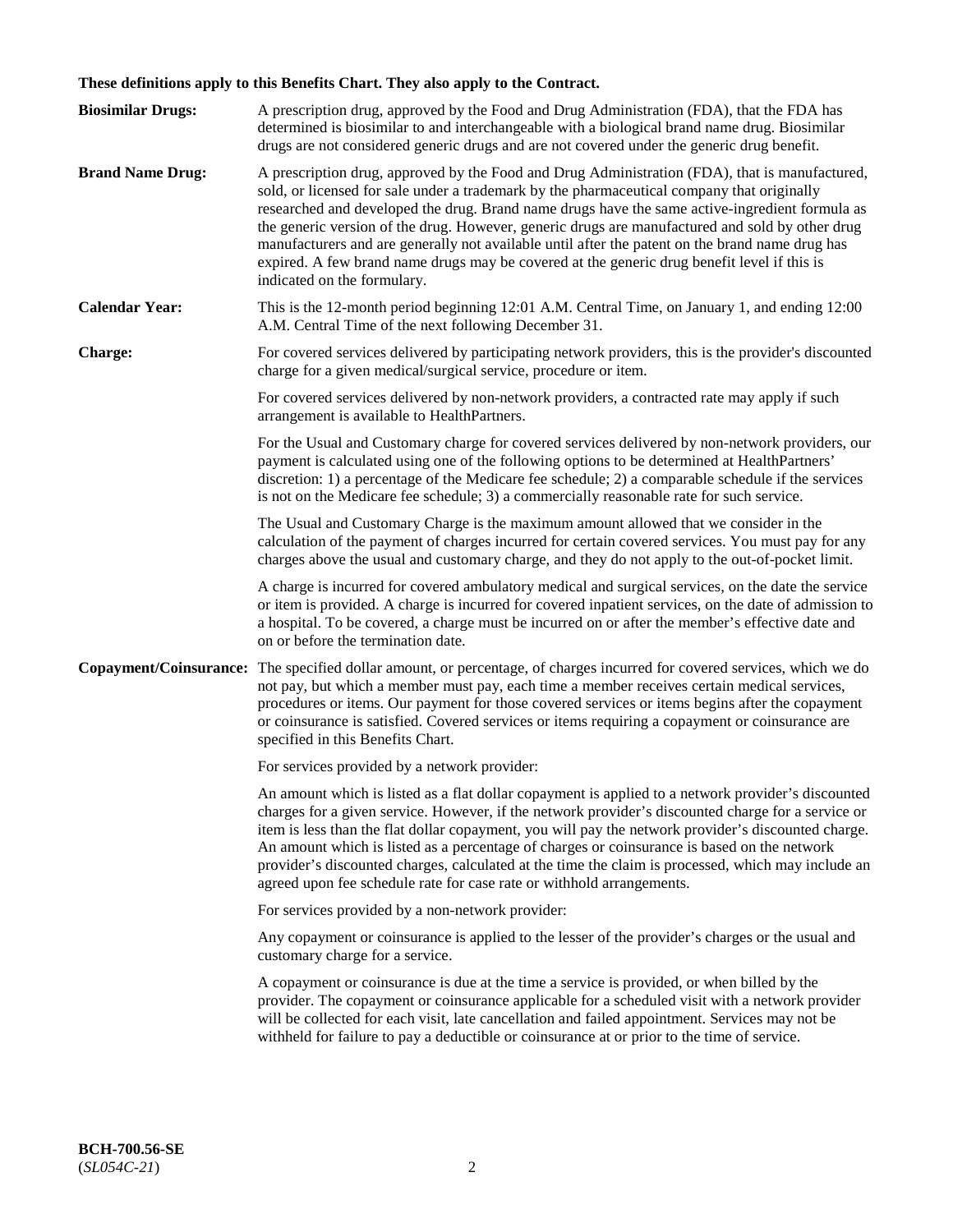# **These definitions apply to this Benefits Chart. They also apply to the Contract.**

| <b>Biosimilar Drugs:</b> | A prescription drug, approved by the Food and Drug Administration (FDA), that the FDA has<br>determined is biosimilar to and interchangeable with a biological brand name drug. Biosimilar<br>drugs are not considered generic drugs and are not covered under the generic drug benefit.                                                                                                                                                                                                                                                                                                                                           |
|--------------------------|------------------------------------------------------------------------------------------------------------------------------------------------------------------------------------------------------------------------------------------------------------------------------------------------------------------------------------------------------------------------------------------------------------------------------------------------------------------------------------------------------------------------------------------------------------------------------------------------------------------------------------|
| <b>Brand Name Drug:</b>  | A prescription drug, approved by the Food and Drug Administration (FDA), that is manufactured,<br>sold, or licensed for sale under a trademark by the pharmaceutical company that originally<br>researched and developed the drug. Brand name drugs have the same active-ingredient formula as<br>the generic version of the drug. However, generic drugs are manufactured and sold by other drug<br>manufacturers and are generally not available until after the patent on the brand name drug has<br>expired. A few brand name drugs may be covered at the generic drug benefit level if this is<br>indicated on the formulary. |
| <b>Calendar Year:</b>    | This is the 12-month period beginning 12:01 A.M. Central Time, on January 1, and ending 12:00<br>A.M. Central Time of the next following December 31.                                                                                                                                                                                                                                                                                                                                                                                                                                                                              |
| <b>Charge:</b>           | For covered services delivered by participating network providers, this is the provider's discounted<br>charge for a given medical/surgical service, procedure or item.                                                                                                                                                                                                                                                                                                                                                                                                                                                            |
|                          | For covered services delivered by non-network providers, a contracted rate may apply if such<br>arrangement is available to HealthPartners.                                                                                                                                                                                                                                                                                                                                                                                                                                                                                        |
|                          | For the Usual and Customary charge for covered services delivered by non-network providers, our<br>payment is calculated using one of the following options to be determined at HealthPartners'<br>discretion: 1) a percentage of the Medicare fee schedule; 2) a comparable schedule if the services<br>is not on the Medicare fee schedule; 3) a commercially reasonable rate for such service.                                                                                                                                                                                                                                  |
|                          | The Usual and Customary Charge is the maximum amount allowed that we consider in the<br>calculation of the payment of charges incurred for certain covered services. You must pay for any<br>charges above the usual and customary charge, and they do not apply to the out-of-pocket limit.                                                                                                                                                                                                                                                                                                                                       |
|                          | A charge is incurred for covered ambulatory medical and surgical services, on the date the service<br>or item is provided. A charge is incurred for covered inpatient services, on the date of admission to<br>a hospital. To be covered, a charge must be incurred on or after the member's effective date and<br>on or before the termination date.                                                                                                                                                                                                                                                                              |
| Copayment/Coinsurance:   | The specified dollar amount, or percentage, of charges incurred for covered services, which we do<br>not pay, but which a member must pay, each time a member receives certain medical services,<br>procedures or items. Our payment for those covered services or items begins after the copayment<br>or coinsurance is satisfied. Covered services or items requiring a copayment or coinsurance are<br>specified in this Benefits Chart.                                                                                                                                                                                        |
|                          | For services provided by a network provider:                                                                                                                                                                                                                                                                                                                                                                                                                                                                                                                                                                                       |
|                          | An amount which is listed as a flat dollar copayment is applied to a network provider's discounted<br>charges for a given service. However, if the network provider's discounted charge for a service or<br>item is less than the flat dollar copayment, you will pay the network provider's discounted charge.<br>An amount which is listed as a percentage of charges or coinsurance is based on the network<br>provider's discounted charges, calculated at the time the claim is processed, which may include an<br>agreed upon fee schedule rate for case rate or withhold arrangements.                                      |
|                          | For services provided by a non-network provider:                                                                                                                                                                                                                                                                                                                                                                                                                                                                                                                                                                                   |
|                          | Any copayment or coinsurance is applied to the lesser of the provider's charges or the usual and<br>customary charge for a service.                                                                                                                                                                                                                                                                                                                                                                                                                                                                                                |
|                          | A copayment or coinsurance is due at the time a service is provided, or when billed by the<br>provider. The copayment or coinsurance applicable for a scheduled visit with a network provider<br>will be collected for each visit, late cancellation and failed appointment. Services may not be<br>withheld for failure to pay a deductible or coinsurance at or prior to the time of service.                                                                                                                                                                                                                                    |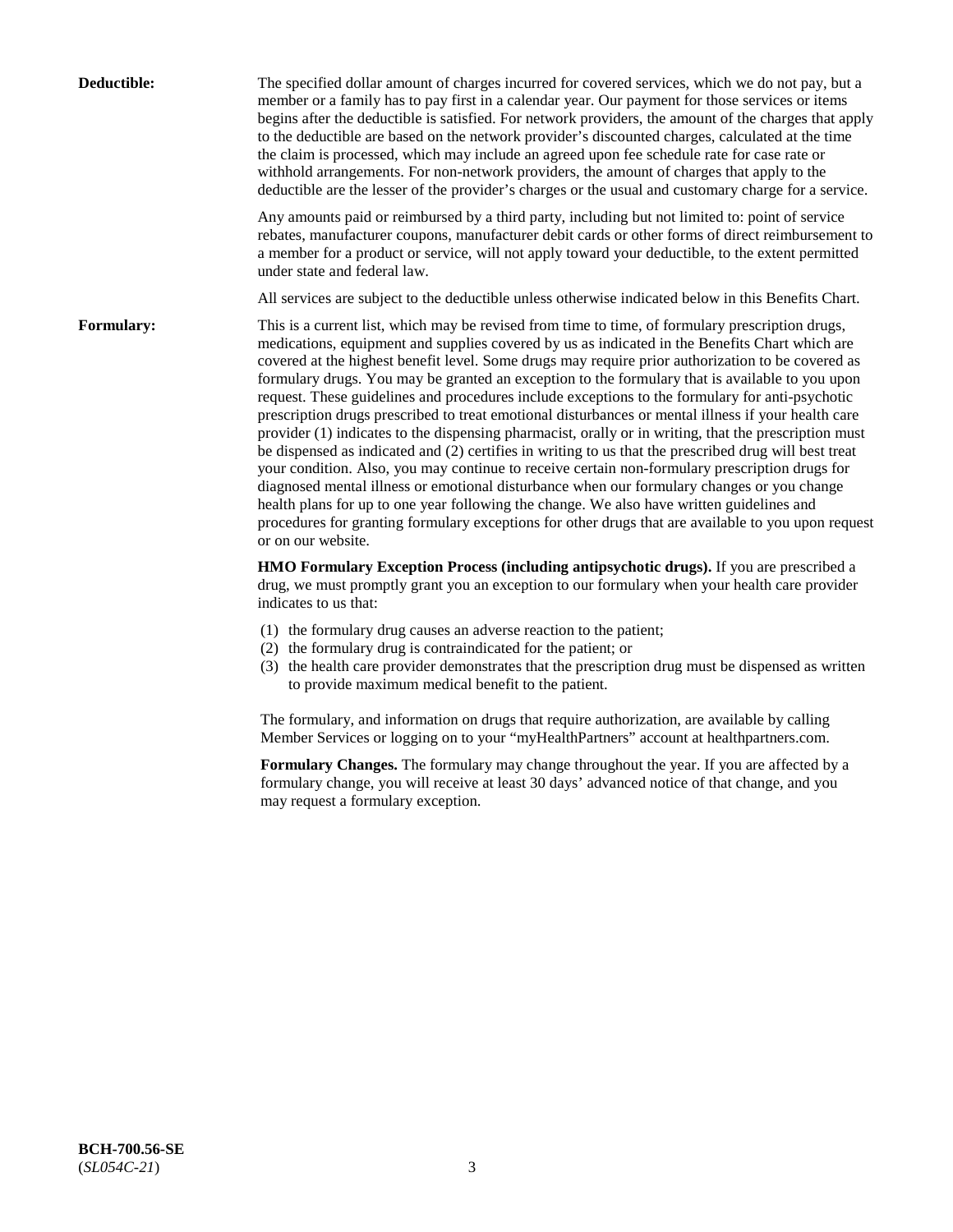| Deductible:       | The specified dollar amount of charges incurred for covered services, which we do not pay, but a<br>member or a family has to pay first in a calendar year. Our payment for those services or items<br>begins after the deductible is satisfied. For network providers, the amount of the charges that apply<br>to the deductible are based on the network provider's discounted charges, calculated at the time<br>the claim is processed, which may include an agreed upon fee schedule rate for case rate or<br>withhold arrangements. For non-network providers, the amount of charges that apply to the<br>deductible are the lesser of the provider's charges or the usual and customary charge for a service.                                                                                                                                                                                                                                                                                                                                                                                                                                                                                                                                             |
|-------------------|------------------------------------------------------------------------------------------------------------------------------------------------------------------------------------------------------------------------------------------------------------------------------------------------------------------------------------------------------------------------------------------------------------------------------------------------------------------------------------------------------------------------------------------------------------------------------------------------------------------------------------------------------------------------------------------------------------------------------------------------------------------------------------------------------------------------------------------------------------------------------------------------------------------------------------------------------------------------------------------------------------------------------------------------------------------------------------------------------------------------------------------------------------------------------------------------------------------------------------------------------------------|
|                   | Any amounts paid or reimbursed by a third party, including but not limited to: point of service<br>rebates, manufacturer coupons, manufacturer debit cards or other forms of direct reimbursement to<br>a member for a product or service, will not apply toward your deductible, to the extent permitted<br>under state and federal law.                                                                                                                                                                                                                                                                                                                                                                                                                                                                                                                                                                                                                                                                                                                                                                                                                                                                                                                        |
|                   | All services are subject to the deductible unless otherwise indicated below in this Benefits Chart.                                                                                                                                                                                                                                                                                                                                                                                                                                                                                                                                                                                                                                                                                                                                                                                                                                                                                                                                                                                                                                                                                                                                                              |
| <b>Formulary:</b> | This is a current list, which may be revised from time to time, of formulary prescription drugs,<br>medications, equipment and supplies covered by us as indicated in the Benefits Chart which are<br>covered at the highest benefit level. Some drugs may require prior authorization to be covered as<br>formulary drugs. You may be granted an exception to the formulary that is available to you upon<br>request. These guidelines and procedures include exceptions to the formulary for anti-psychotic<br>prescription drugs prescribed to treat emotional disturbances or mental illness if your health care<br>provider (1) indicates to the dispensing pharmacist, orally or in writing, that the prescription must<br>be dispensed as indicated and (2) certifies in writing to us that the prescribed drug will best treat<br>your condition. Also, you may continue to receive certain non-formulary prescription drugs for<br>diagnosed mental illness or emotional disturbance when our formulary changes or you change<br>health plans for up to one year following the change. We also have written guidelines and<br>procedures for granting formulary exceptions for other drugs that are available to you upon request<br>or on our website. |
|                   | HMO Formulary Exception Process (including antipsychotic drugs). If you are prescribed a<br>drug, we must promptly grant you an exception to our formulary when your health care provider<br>indicates to us that:                                                                                                                                                                                                                                                                                                                                                                                                                                                                                                                                                                                                                                                                                                                                                                                                                                                                                                                                                                                                                                               |
|                   | (1) the formulary drug causes an adverse reaction to the patient;<br>(2) the formulary drug is contraindicated for the patient; or<br>(3) the health care provider demonstrates that the prescription drug must be dispensed as written<br>to provide maximum medical benefit to the patient.                                                                                                                                                                                                                                                                                                                                                                                                                                                                                                                                                                                                                                                                                                                                                                                                                                                                                                                                                                    |
|                   | The formulary, and information on drugs that require authorization, are available by calling<br>Member Services or logging on to your "myHealthPartners" account at healthpartners.com.                                                                                                                                                                                                                                                                                                                                                                                                                                                                                                                                                                                                                                                                                                                                                                                                                                                                                                                                                                                                                                                                          |
|                   | Formulary Changes. The formulary may change throughout the year. If you are affected by a<br>formulary change, you will receive at least 30 days' advanced notice of that change, and you<br>may request a formulary exception.                                                                                                                                                                                                                                                                                                                                                                                                                                                                                                                                                                                                                                                                                                                                                                                                                                                                                                                                                                                                                                  |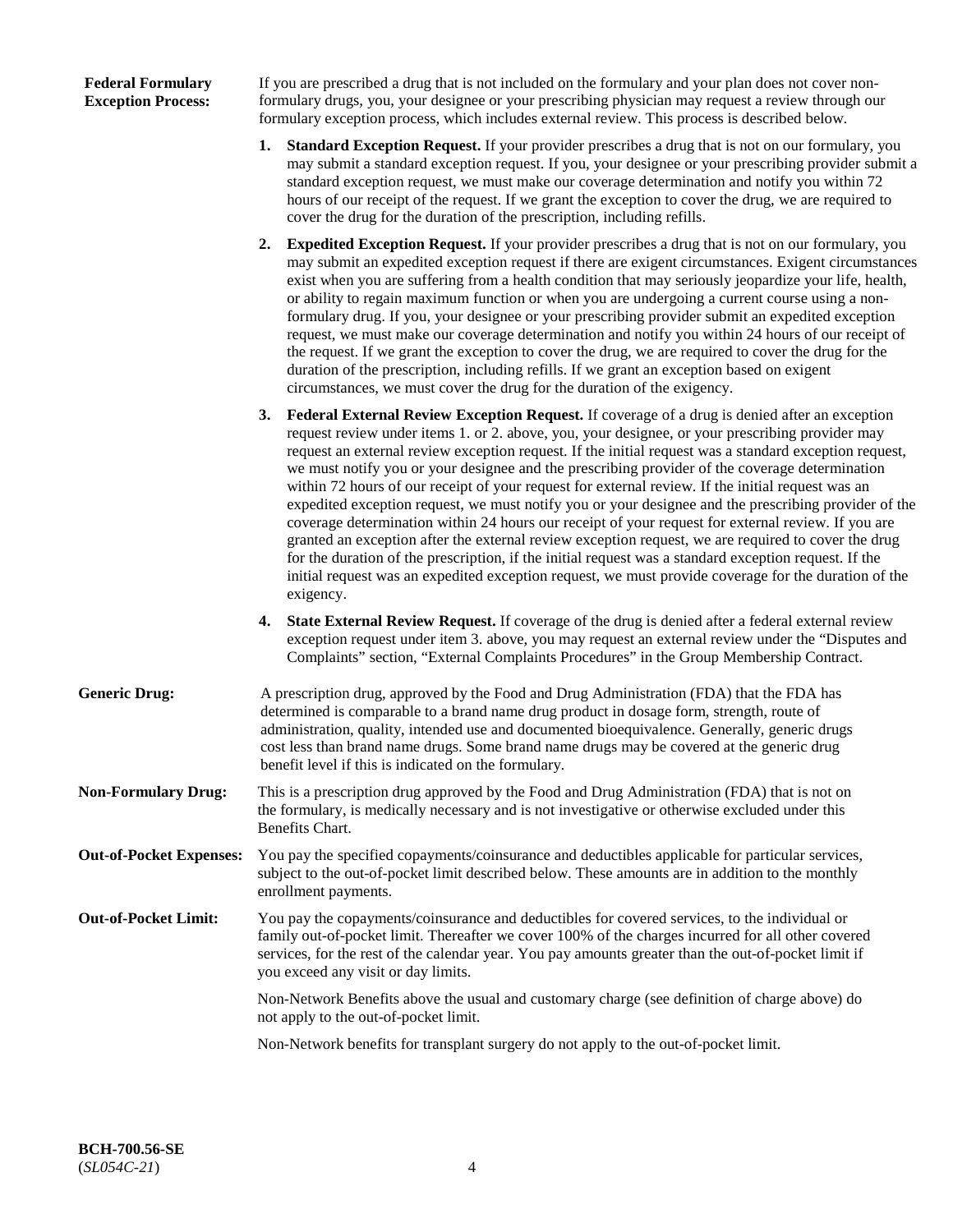## **Federal Formulary Exception Process:**

If you are prescribed a drug that is not included on the formulary and your plan does not cover nonformulary drugs, you, your designee or your prescribing physician may request a review through our formulary exception process, which includes external review. This process is described below.

- **1. Standard Exception Request.** If your provider prescribes a drug that is not on our formulary, you may submit a standard exception request. If you, your designee or your prescribing provider submit a standard exception request, we must make our coverage determination and notify you within 72 hours of our receipt of the request. If we grant the exception to cover the drug, we are required to cover the drug for the duration of the prescription, including refills.
- **2. Expedited Exception Request.** If your provider prescribes a drug that is not on our formulary, you may submit an expedited exception request if there are exigent circumstances. Exigent circumstances exist when you are suffering from a health condition that may seriously jeopardize your life, health, or ability to regain maximum function or when you are undergoing a current course using a nonformulary drug. If you, your designee or your prescribing provider submit an expedited exception request, we must make our coverage determination and notify you within 24 hours of our receipt of the request. If we grant the exception to cover the drug, we are required to cover the drug for the duration of the prescription, including refills. If we grant an exception based on exigent circumstances, we must cover the drug for the duration of the exigency.
- **3. Federal External Review Exception Request.** If coverage of a drug is denied after an exception request review under items 1. or 2. above, you, your designee, or your prescribing provider may request an external review exception request. If the initial request was a standard exception request, we must notify you or your designee and the prescribing provider of the coverage determination within 72 hours of our receipt of your request for external review. If the initial request was an expedited exception request, we must notify you or your designee and the prescribing provider of the coverage determination within 24 hours our receipt of your request for external review. If you are granted an exception after the external review exception request, we are required to cover the drug for the duration of the prescription, if the initial request was a standard exception request. If the initial request was an expedited exception request, we must provide coverage for the duration of the exigency.
- **4. State External Review Request.** If coverage of the drug is denied after a federal external review exception request under item 3. above, you may request an external review under the "Disputes and Complaints" section, "External Complaints Procedures" in the Group Membership Contract.
- **Generic Drug:** A prescription drug, approved by the Food and Drug Administration (FDA) that the FDA has determined is comparable to a brand name drug product in dosage form, strength, route of administration, quality, intended use and documented bioequivalence. Generally, generic drugs cost less than brand name drugs. Some brand name drugs may be covered at the generic drug benefit level if this is indicated on the formulary.
- **Non-Formulary Drug:** This is a prescription drug approved by the Food and Drug Administration (FDA) that is not on the formulary, is medically necessary and is not investigative or otherwise excluded under this Benefits Chart.
- **Out-of-Pocket Expenses:** You pay the specified copayments/coinsurance and deductibles applicable for particular services, subject to the out-of-pocket limit described below. These amounts are in addition to the monthly enrollment payments.
- **Out-of-Pocket Limit:** You pay the copayments/coinsurance and deductibles for covered services, to the individual or family out-of-pocket limit. Thereafter we cover 100% of the charges incurred for all other covered services, for the rest of the calendar year. You pay amounts greater than the out-of-pocket limit if you exceed any visit or day limits.

Non-Network Benefits above the usual and customary charge (see definition of charge above) do not apply to the out-of-pocket limit.

Non-Network benefits for transplant surgery do not apply to the out-of-pocket limit.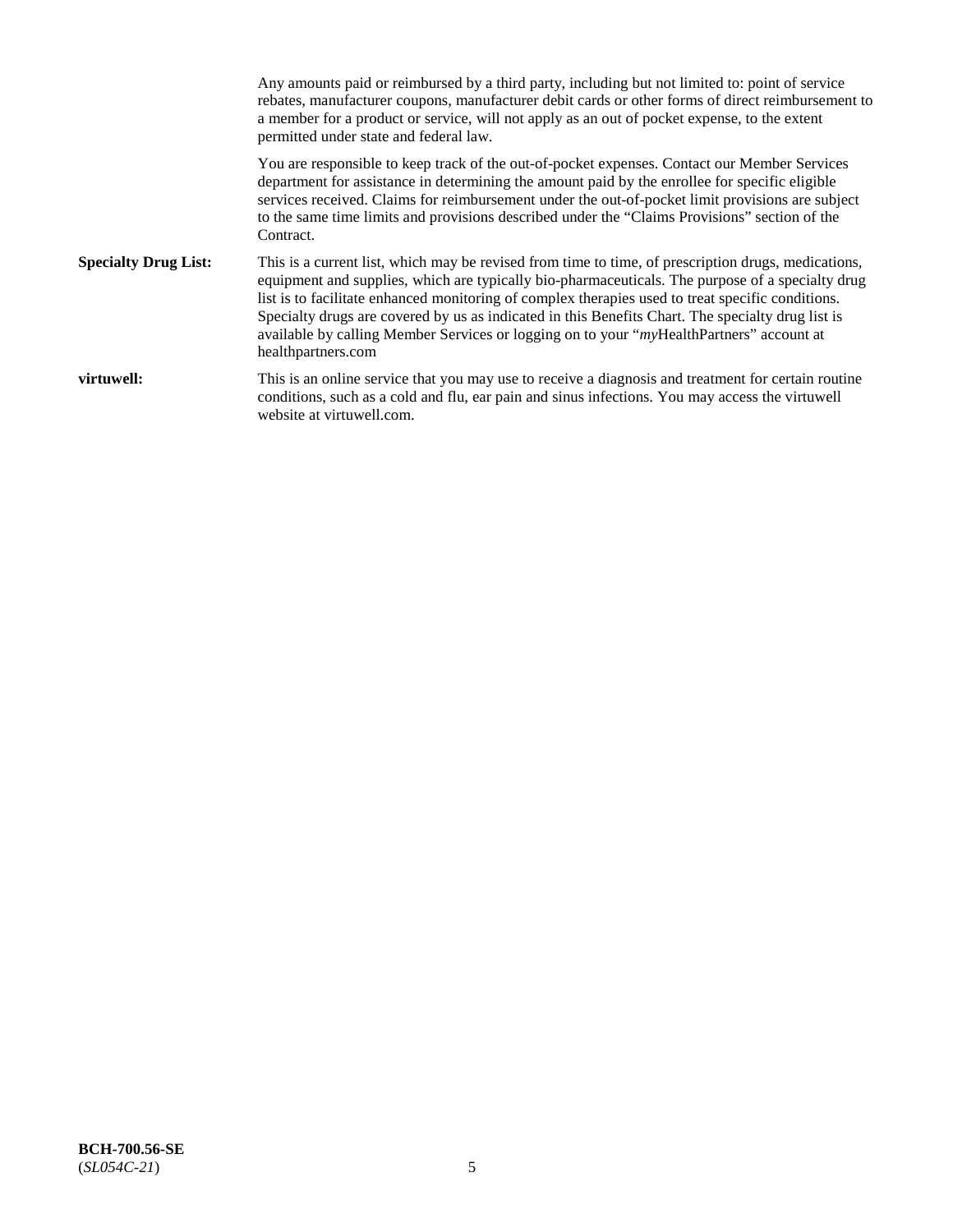Any amounts paid or reimbursed by a third party, including but not limited to: point of service rebates, manufacturer coupons, manufacturer debit cards or other forms of direct reimbursement to a member for a product or service, will not apply as an out of pocket expense, to the extent permitted under state and federal law. You are responsible to keep track of the out-of-pocket expenses. Contact our Member Services department for assistance in determining the amount paid by the enrollee for specific eligible services received. Claims for reimbursement under the out-of-pocket limit provisions are subject to the same time limits and provisions described under the "Claims Provisions" section of the Contract. **Specialty Drug List:** This is a current list, which may be revised from time to time, of prescription drugs, medications, equipment and supplies, which are typically bio-pharmaceuticals. The purpose of a specialty drug list is to facilitate enhanced monitoring of complex therapies used to treat specific conditions. Specialty drugs are covered by us as indicated in this Benefits Chart. The specialty drug list is available by calling Member Services or logging on to your "*my*HealthPartners" account at [healthpartners.com](https://www.healthpartners.com/hp/index.html) **virtuwell:** This is an online service that you may use to receive a diagnosis and treatment for certain routine conditions, such as a cold and flu, ear pain and sinus infections. You may access the virtuwell website at [virtuwell.com.](https://www.virtuwell.com/)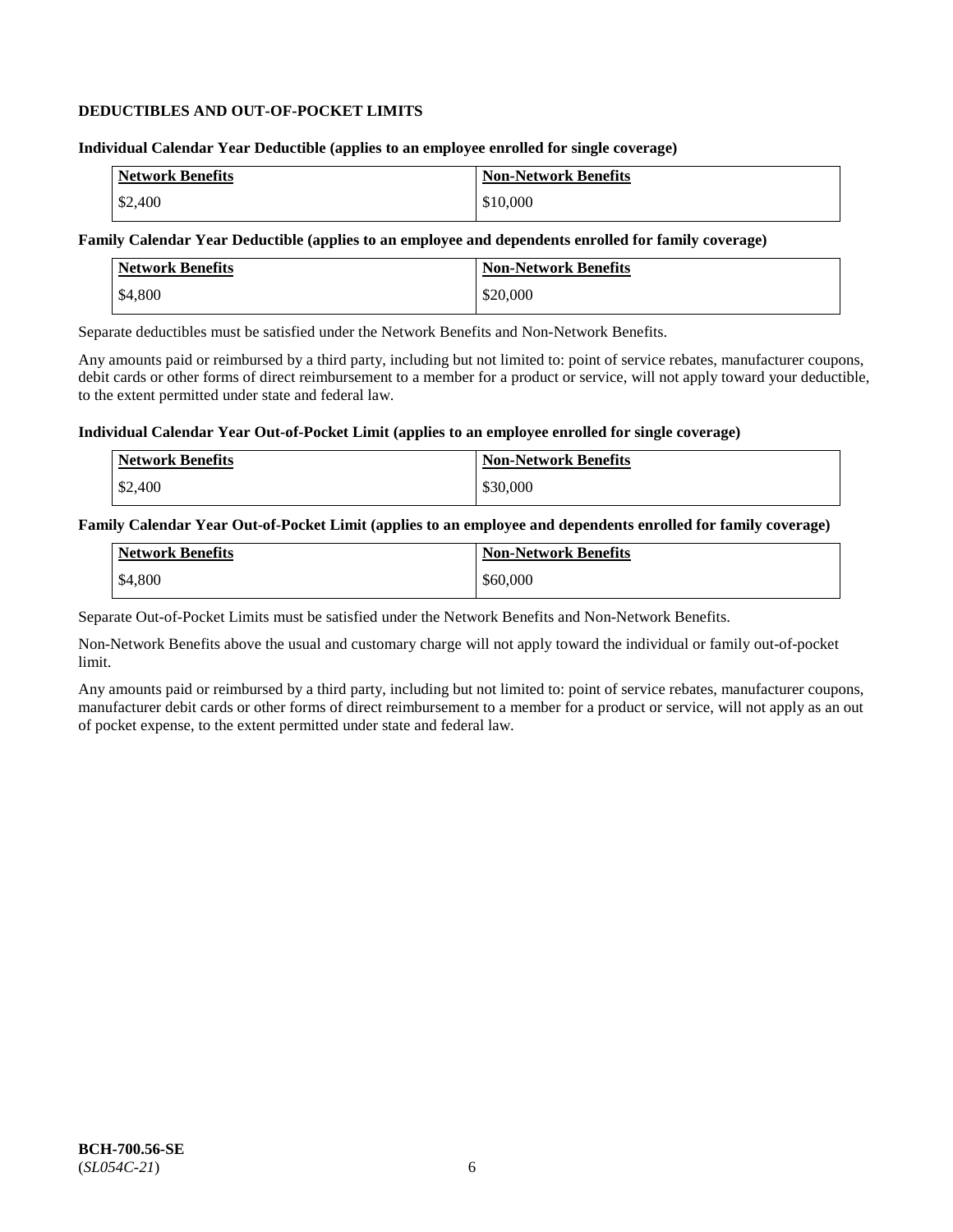## **DEDUCTIBLES AND OUT-OF-POCKET LIMITS**

#### **Individual Calendar Year Deductible (applies to an employee enrolled for single coverage)**

| <b>Network Benefits</b> | <b>Non-Network Benefits</b> |
|-------------------------|-----------------------------|
| \$2,400                 | \$10,000                    |

## **Family Calendar Year Deductible (applies to an employee and dependents enrolled for family coverage)**

| Network Benefits | <b>Non-Network Benefits</b> |
|------------------|-----------------------------|
| \$4,800          | \$20,000                    |

Separate deductibles must be satisfied under the Network Benefits and Non-Network Benefits.

Any amounts paid or reimbursed by a third party, including but not limited to: point of service rebates, manufacturer coupons, debit cards or other forms of direct reimbursement to a member for a product or service, will not apply toward your deductible, to the extent permitted under state and federal law.

#### **Individual Calendar Year Out-of-Pocket Limit (applies to an employee enrolled for single coverage)**

| Network Benefits | <b>Non-Network Benefits</b> |
|------------------|-----------------------------|
| \$2,400          | \$30,000                    |

#### **Family Calendar Year Out-of-Pocket Limit (applies to an employee and dependents enrolled for family coverage)**

| <b>Network Benefits</b> | <b>Non-Network Benefits</b> |
|-------------------------|-----------------------------|
| \$4,800                 | \$60,000                    |

Separate Out-of-Pocket Limits must be satisfied under the Network Benefits and Non-Network Benefits.

Non-Network Benefits above the usual and customary charge will not apply toward the individual or family out-of-pocket limit.

Any amounts paid or reimbursed by a third party, including but not limited to: point of service rebates, manufacturer coupons, manufacturer debit cards or other forms of direct reimbursement to a member for a product or service, will not apply as an out of pocket expense, to the extent permitted under state and federal law.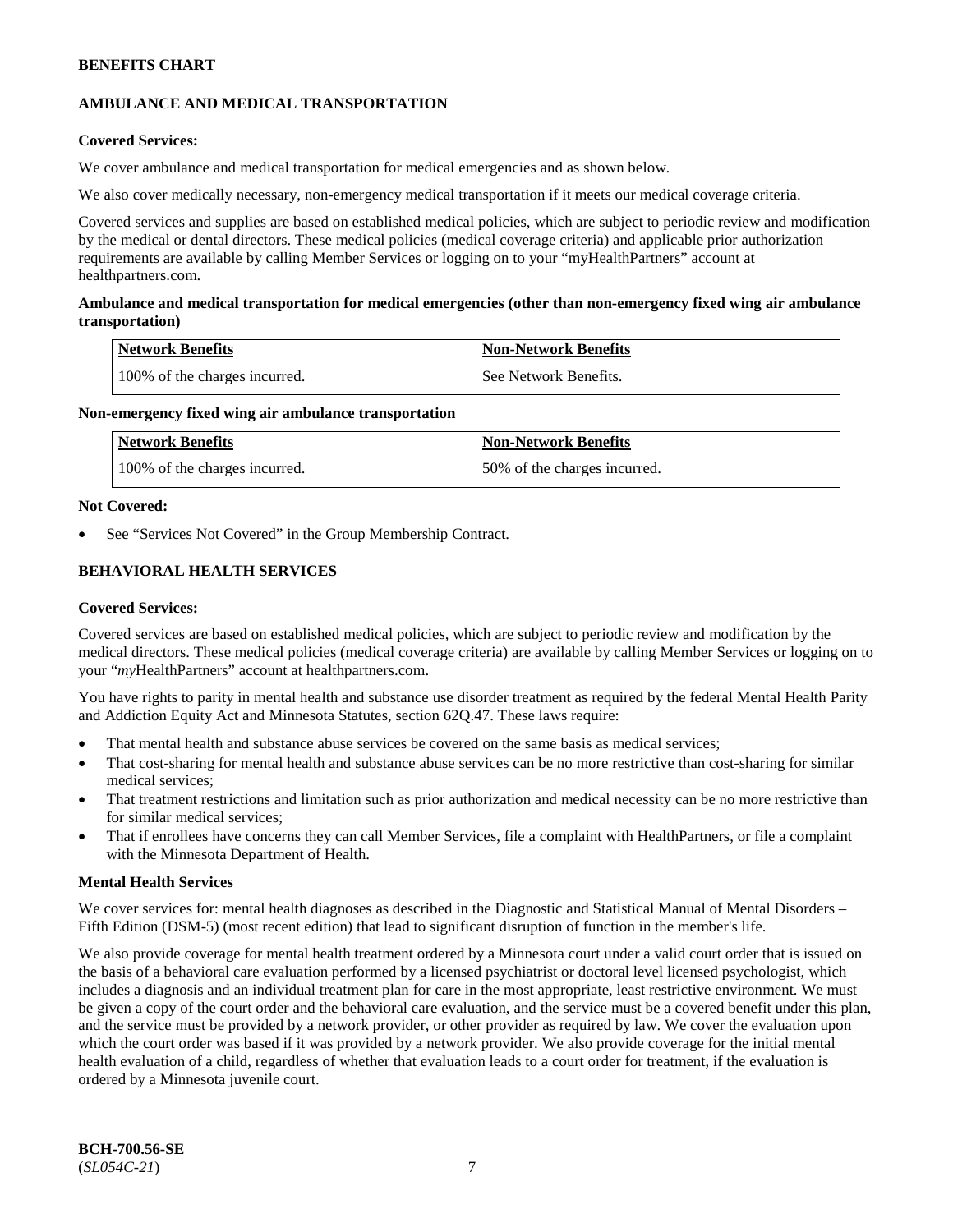## **AMBULANCE AND MEDICAL TRANSPORTATION**

## **Covered Services:**

We cover ambulance and medical transportation for medical emergencies and as shown below.

We also cover medically necessary, non-emergency medical transportation if it meets our medical coverage criteria.

Covered services and supplies are based on established medical policies, which are subject to periodic review and modification by the medical or dental directors. These medical policies (medical coverage criteria) and applicable prior authorization requirements are available by calling Member Services or logging on to your "myHealthPartners" account at [healthpartners.com.](https://www.healthpartners.com/hp/index.html)

## **Ambulance and medical transportation for medical emergencies (other than non-emergency fixed wing air ambulance transportation)**

| Network Benefits              | <b>Non-Network Benefits</b> |
|-------------------------------|-----------------------------|
| 100% of the charges incurred. | See Network Benefits.       |

## **Non-emergency fixed wing air ambulance transportation**

| Network Benefits              | <b>Non-Network Benefits</b>  |
|-------------------------------|------------------------------|
| 100% of the charges incurred. | 50% of the charges incurred. |

## **Not Covered:**

See "Services Not Covered" in the Group Membership Contract.

## **BEHAVIORAL HEALTH SERVICES**

## **Covered Services:**

Covered services are based on established medical policies, which are subject to periodic review and modification by the medical directors. These medical policies (medical coverage criteria) are available by calling Member Services or logging on to your "*my*HealthPartners" account at [healthpartners.com.](http://www.healthpartners.com/)

You have rights to parity in mental health and substance use disorder treatment as required by the federal Mental Health Parity and Addiction Equity Act and Minnesota Statutes, section 62Q.47. These laws require:

- That mental health and substance abuse services be covered on the same basis as medical services;
- That cost-sharing for mental health and substance abuse services can be no more restrictive than cost-sharing for similar medical services;
- That treatment restrictions and limitation such as prior authorization and medical necessity can be no more restrictive than for similar medical services;
- That if enrollees have concerns they can call Member Services, file a complaint with HealthPartners, or file a complaint with the Minnesota Department of Health.

## **Mental Health Services**

We cover services for: mental health diagnoses as described in the Diagnostic and Statistical Manual of Mental Disorders – Fifth Edition (DSM-5) (most recent edition) that lead to significant disruption of function in the member's life.

We also provide coverage for mental health treatment ordered by a Minnesota court under a valid court order that is issued on the basis of a behavioral care evaluation performed by a licensed psychiatrist or doctoral level licensed psychologist, which includes a diagnosis and an individual treatment plan for care in the most appropriate, least restrictive environment. We must be given a copy of the court order and the behavioral care evaluation, and the service must be a covered benefit under this plan, and the service must be provided by a network provider, or other provider as required by law. We cover the evaluation upon which the court order was based if it was provided by a network provider. We also provide coverage for the initial mental health evaluation of a child, regardless of whether that evaluation leads to a court order for treatment, if the evaluation is ordered by a Minnesota juvenile court.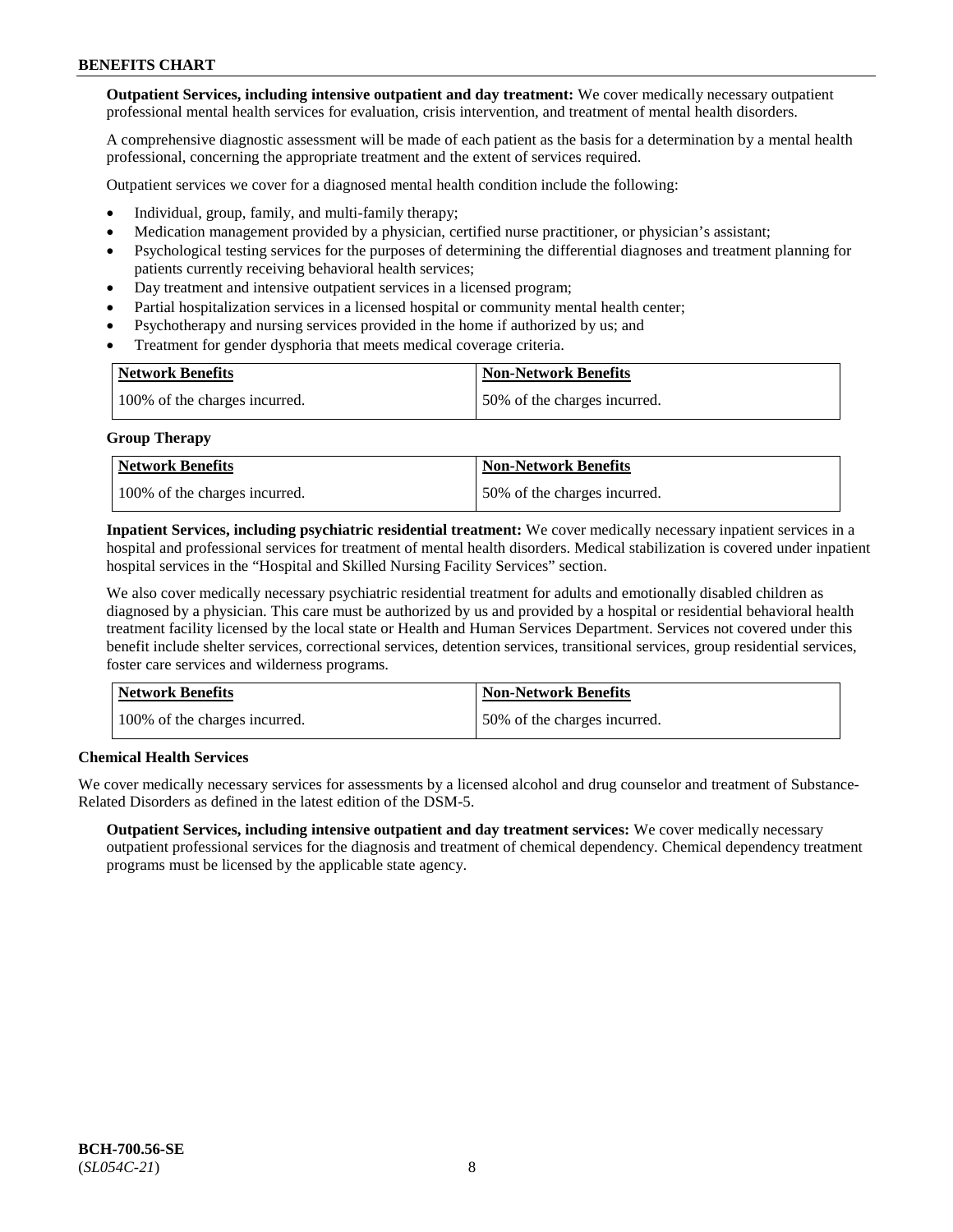**Outpatient Services, including intensive outpatient and day treatment:** We cover medically necessary outpatient professional mental health services for evaluation, crisis intervention, and treatment of mental health disorders.

A comprehensive diagnostic assessment will be made of each patient as the basis for a determination by a mental health professional, concerning the appropriate treatment and the extent of services required.

Outpatient services we cover for a diagnosed mental health condition include the following:

- Individual, group, family, and multi-family therapy;
- Medication management provided by a physician, certified nurse practitioner, or physician's assistant;
- Psychological testing services for the purposes of determining the differential diagnoses and treatment planning for patients currently receiving behavioral health services;
- Day treatment and intensive outpatient services in a licensed program;
- Partial hospitalization services in a licensed hospital or community mental health center;
- Psychotherapy and nursing services provided in the home if authorized by us; and
- Treatment for gender dysphoria that meets medical coverage criteria.

| <b>Network Benefits</b>       | <b>Non-Network Benefits</b>  |
|-------------------------------|------------------------------|
| 100% of the charges incurred. | 50% of the charges incurred. |

#### **Group Therapy**

| Network Benefits              | <b>Non-Network Benefits</b>  |
|-------------------------------|------------------------------|
| 100% of the charges incurred. | 50% of the charges incurred. |

**Inpatient Services, including psychiatric residential treatment:** We cover medically necessary inpatient services in a hospital and professional services for treatment of mental health disorders. Medical stabilization is covered under inpatient hospital services in the "Hospital and Skilled Nursing Facility Services" section.

We also cover medically necessary psychiatric residential treatment for adults and emotionally disabled children as diagnosed by a physician. This care must be authorized by us and provided by a hospital or residential behavioral health treatment facility licensed by the local state or Health and Human Services Department. Services not covered under this benefit include shelter services, correctional services, detention services, transitional services, group residential services, foster care services and wilderness programs.

| Network Benefits              | <b>Non-Network Benefits</b>  |
|-------------------------------|------------------------------|
| 100% of the charges incurred. | 50% of the charges incurred. |

## **Chemical Health Services**

We cover medically necessary services for assessments by a licensed alcohol and drug counselor and treatment of Substance-Related Disorders as defined in the latest edition of the DSM-5.

**Outpatient Services, including intensive outpatient and day treatment services:** We cover medically necessary outpatient professional services for the diagnosis and treatment of chemical dependency. Chemical dependency treatment programs must be licensed by the applicable state agency.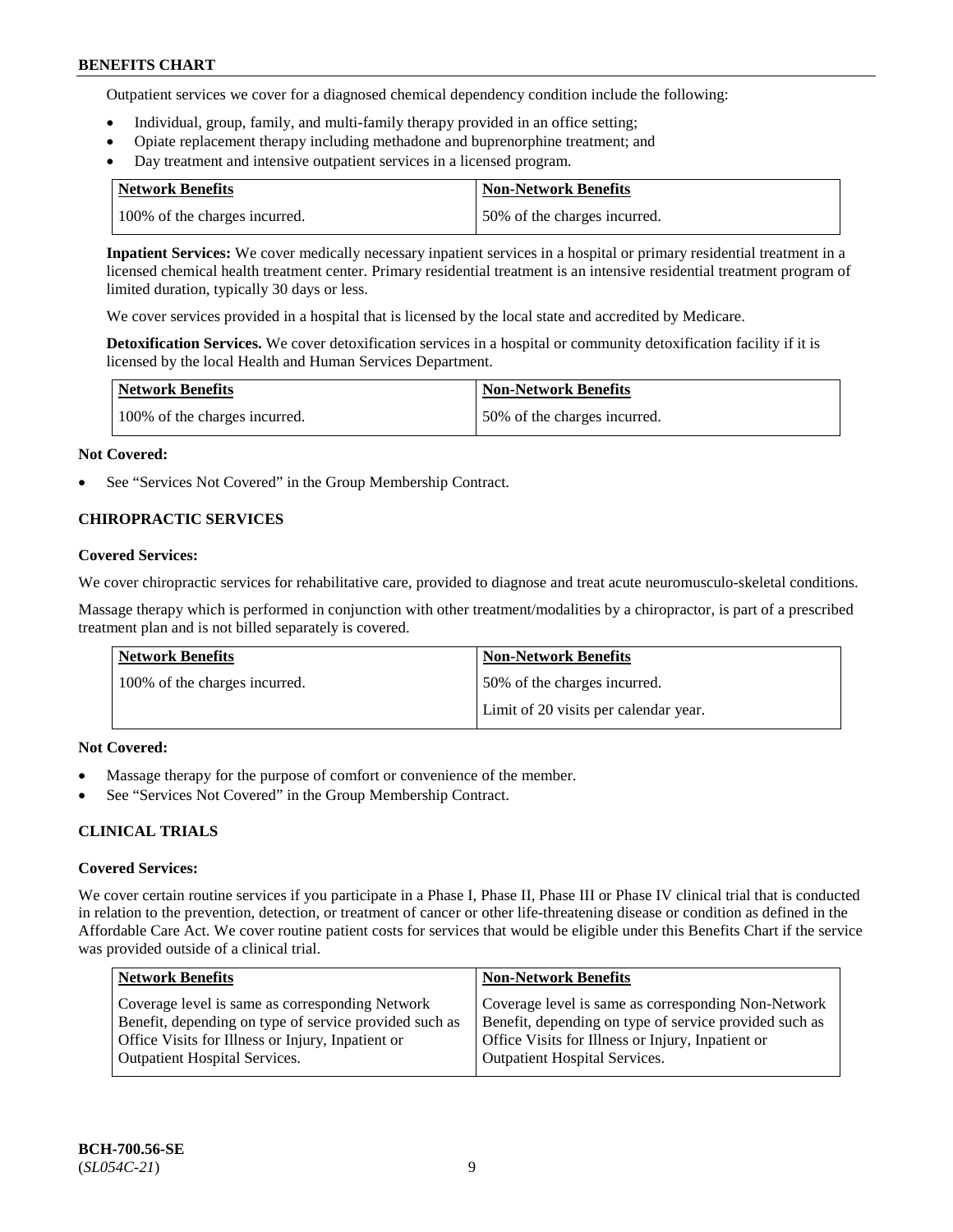Outpatient services we cover for a diagnosed chemical dependency condition include the following:

- Individual, group, family, and multi-family therapy provided in an office setting;
- Opiate replacement therapy including methadone and buprenorphine treatment; and
- Day treatment and intensive outpatient services in a licensed program.

| Network Benefits              | <b>Non-Network Benefits</b>  |
|-------------------------------|------------------------------|
| 100% of the charges incurred. | 50% of the charges incurred. |

**Inpatient Services:** We cover medically necessary inpatient services in a hospital or primary residential treatment in a licensed chemical health treatment center. Primary residential treatment is an intensive residential treatment program of limited duration, typically 30 days or less.

We cover services provided in a hospital that is licensed by the local state and accredited by Medicare.

**Detoxification Services.** We cover detoxification services in a hospital or community detoxification facility if it is licensed by the local Health and Human Services Department.

| <b>Network Benefits</b>       | <b>Non-Network Benefits</b>  |
|-------------------------------|------------------------------|
| 100% of the charges incurred. | 50% of the charges incurred. |

## **Not Covered:**

See "Services Not Covered" in the Group Membership Contract.

## **CHIROPRACTIC SERVICES**

## **Covered Services:**

We cover chiropractic services for rehabilitative care, provided to diagnose and treat acute neuromusculo-skeletal conditions.

Massage therapy which is performed in conjunction with other treatment/modalities by a chiropractor, is part of a prescribed treatment plan and is not billed separately is covered.

| Network Benefits              | <b>Non-Network Benefits</b>           |
|-------------------------------|---------------------------------------|
| 100% of the charges incurred. | 50% of the charges incurred.          |
|                               | Limit of 20 visits per calendar year. |

## **Not Covered:**

- Massage therapy for the purpose of comfort or convenience of the member.
- See "Services Not Covered" in the Group Membership Contract.

## **CLINICAL TRIALS**

## **Covered Services:**

We cover certain routine services if you participate in a Phase I, Phase II, Phase III or Phase IV clinical trial that is conducted in relation to the prevention, detection, or treatment of cancer or other life-threatening disease or condition as defined in the Affordable Care Act. We cover routine patient costs for services that would be eligible under this Benefits Chart if the service was provided outside of a clinical trial.

| <b>Network Benefits</b>                                                                                                                                                                                | <b>Non-Network Benefits</b>                                                                                                                                                                                |
|--------------------------------------------------------------------------------------------------------------------------------------------------------------------------------------------------------|------------------------------------------------------------------------------------------------------------------------------------------------------------------------------------------------------------|
| Coverage level is same as corresponding Network<br>Benefit, depending on type of service provided such as<br>Office Visits for Illness or Injury, Inpatient or<br><b>Outpatient Hospital Services.</b> | Coverage level is same as corresponding Non-Network<br>Benefit, depending on type of service provided such as<br>Office Visits for Illness or Injury, Inpatient or<br><b>Outpatient Hospital Services.</b> |
|                                                                                                                                                                                                        |                                                                                                                                                                                                            |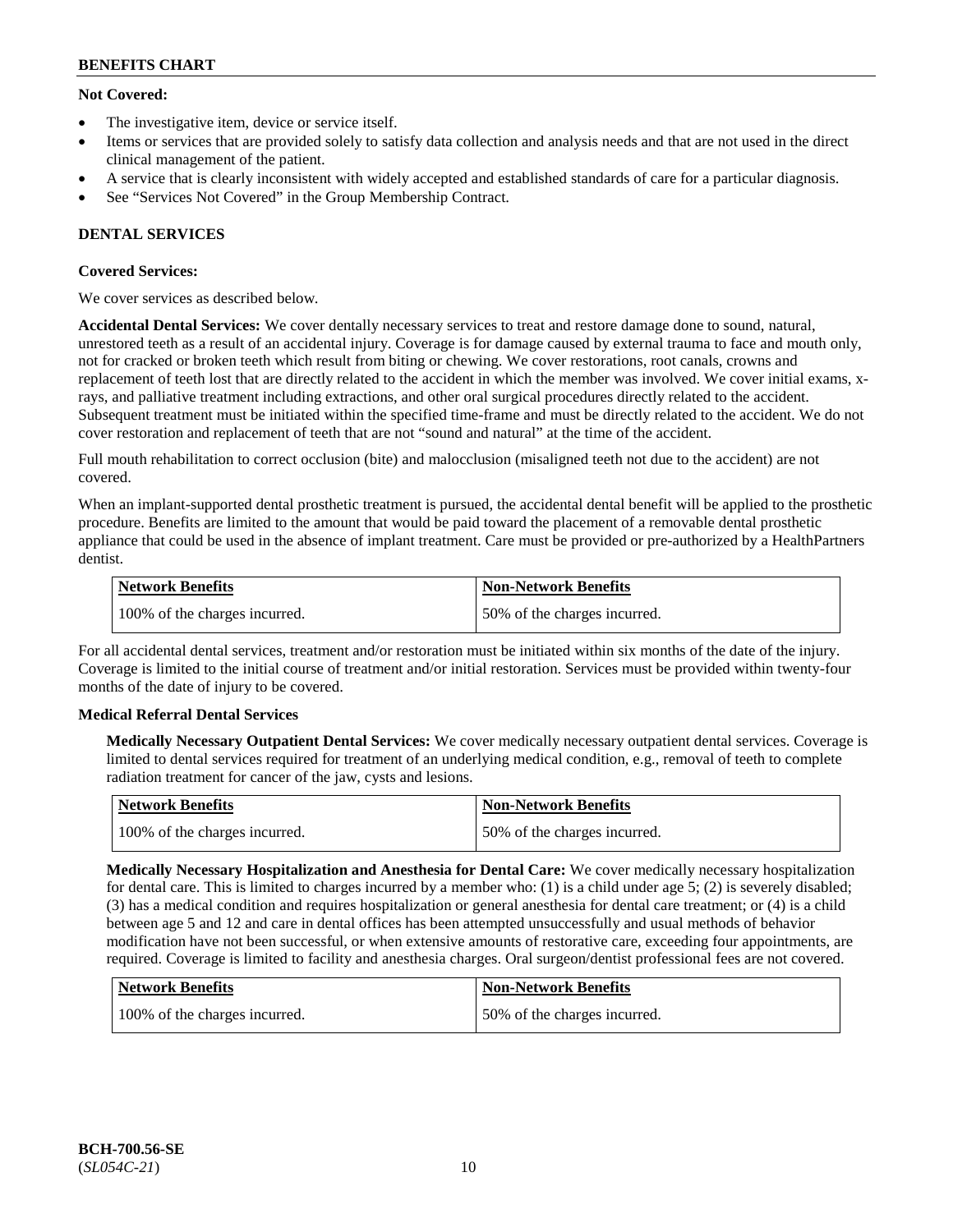## **Not Covered:**

- The investigative item, device or service itself.
- Items or services that are provided solely to satisfy data collection and analysis needs and that are not used in the direct clinical management of the patient.
- A service that is clearly inconsistent with widely accepted and established standards of care for a particular diagnosis.
- See "Services Not Covered" in the Group Membership Contract.

## **DENTAL SERVICES**

## **Covered Services:**

We cover services as described below.

**Accidental Dental Services:** We cover dentally necessary services to treat and restore damage done to sound, natural, unrestored teeth as a result of an accidental injury. Coverage is for damage caused by external trauma to face and mouth only, not for cracked or broken teeth which result from biting or chewing. We cover restorations, root canals, crowns and replacement of teeth lost that are directly related to the accident in which the member was involved. We cover initial exams, xrays, and palliative treatment including extractions, and other oral surgical procedures directly related to the accident. Subsequent treatment must be initiated within the specified time-frame and must be directly related to the accident. We do not cover restoration and replacement of teeth that are not "sound and natural" at the time of the accident.

Full mouth rehabilitation to correct occlusion (bite) and malocclusion (misaligned teeth not due to the accident) are not covered.

When an implant-supported dental prosthetic treatment is pursued, the accidental dental benefit will be applied to the prosthetic procedure. Benefits are limited to the amount that would be paid toward the placement of a removable dental prosthetic appliance that could be used in the absence of implant treatment. Care must be provided or pre-authorized by a HealthPartners dentist.

| Network Benefits              | <b>Non-Network Benefits</b>  |
|-------------------------------|------------------------------|
| 100% of the charges incurred. | 50% of the charges incurred. |

For all accidental dental services, treatment and/or restoration must be initiated within six months of the date of the injury. Coverage is limited to the initial course of treatment and/or initial restoration. Services must be provided within twenty-four months of the date of injury to be covered.

## **Medical Referral Dental Services**

**Medically Necessary Outpatient Dental Services:** We cover medically necessary outpatient dental services. Coverage is limited to dental services required for treatment of an underlying medical condition, e.g., removal of teeth to complete radiation treatment for cancer of the jaw, cysts and lesions.

| Network Benefits              | Non-Network Benefits         |
|-------------------------------|------------------------------|
| 100% of the charges incurred. | 50% of the charges incurred. |

**Medically Necessary Hospitalization and Anesthesia for Dental Care:** We cover medically necessary hospitalization for dental care. This is limited to charges incurred by a member who: (1) is a child under age  $5$ ; (2) is severely disabled; (3) has a medical condition and requires hospitalization or general anesthesia for dental care treatment; or (4) is a child between age 5 and 12 and care in dental offices has been attempted unsuccessfully and usual methods of behavior modification have not been successful, or when extensive amounts of restorative care, exceeding four appointments, are required. Coverage is limited to facility and anesthesia charges. Oral surgeon/dentist professional fees are not covered.

| <b>Network Benefits</b>       | <b>Non-Network Benefits</b>  |
|-------------------------------|------------------------------|
| 100% of the charges incurred. | 50% of the charges incurred. |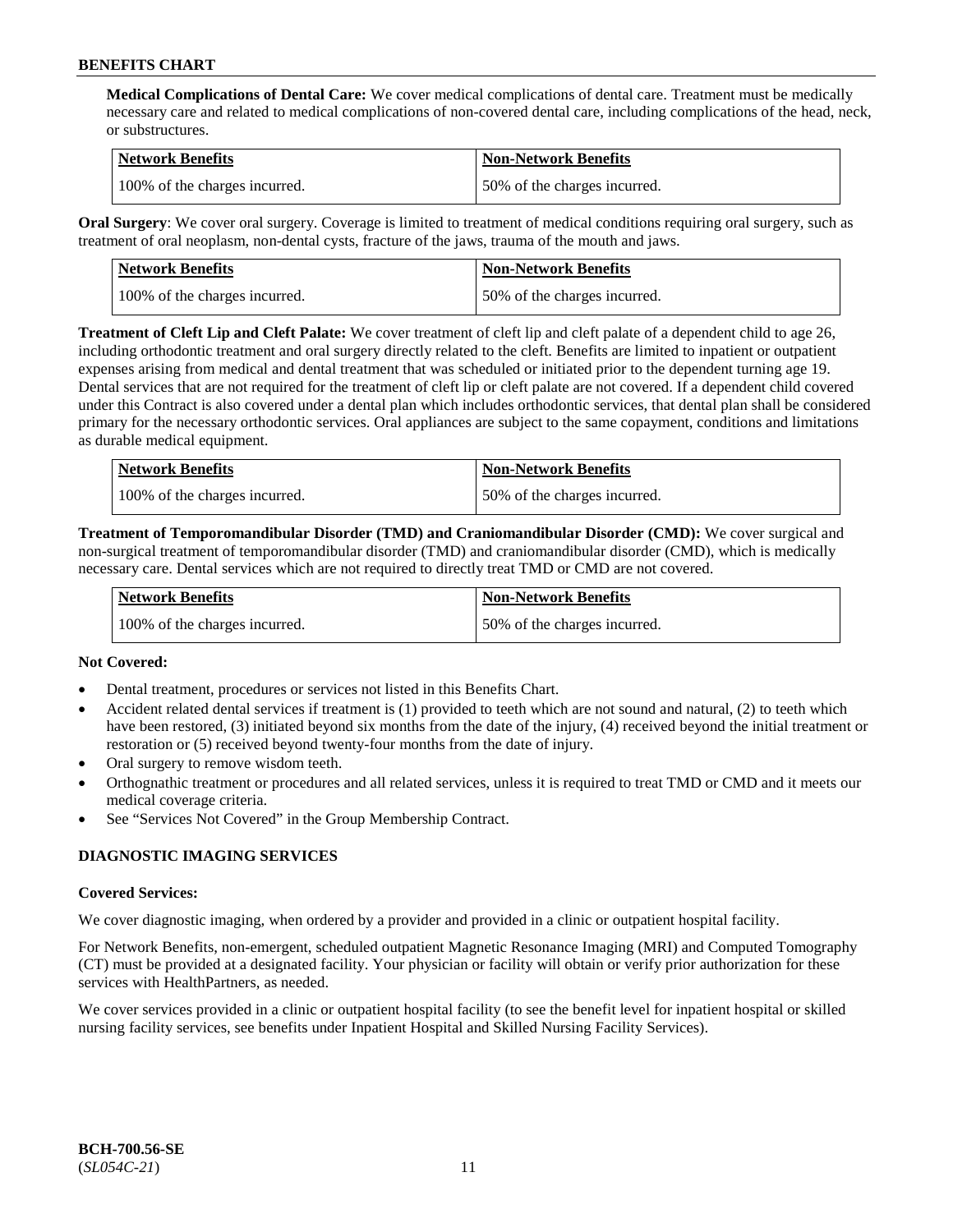**Medical Complications of Dental Care:** We cover medical complications of dental care. Treatment must be medically necessary care and related to medical complications of non-covered dental care, including complications of the head, neck, or substructures.

| Network Benefits              | <b>Non-Network Benefits</b>  |
|-------------------------------|------------------------------|
| 100% of the charges incurred. | 50% of the charges incurred. |

**Oral Surgery**: We cover oral surgery. Coverage is limited to treatment of medical conditions requiring oral surgery, such as treatment of oral neoplasm, non-dental cysts, fracture of the jaws, trauma of the mouth and jaws.

| Network Benefits              | <b>Non-Network Benefits</b>  |
|-------------------------------|------------------------------|
| 100% of the charges incurred. | 50% of the charges incurred. |

**Treatment of Cleft Lip and Cleft Palate:** We cover treatment of cleft lip and cleft palate of a dependent child to age 26, including orthodontic treatment and oral surgery directly related to the cleft. Benefits are limited to inpatient or outpatient expenses arising from medical and dental treatment that was scheduled or initiated prior to the dependent turning age 19. Dental services that are not required for the treatment of cleft lip or cleft palate are not covered. If a dependent child covered under this Contract is also covered under a dental plan which includes orthodontic services, that dental plan shall be considered primary for the necessary orthodontic services. Oral appliances are subject to the same copayment, conditions and limitations as durable medical equipment.

| <b>Network Benefits</b>       | <b>Non-Network Benefits</b>  |
|-------------------------------|------------------------------|
| 100% of the charges incurred. | 50% of the charges incurred. |

**Treatment of Temporomandibular Disorder (TMD) and Craniomandibular Disorder (CMD):** We cover surgical and non-surgical treatment of temporomandibular disorder (TMD) and craniomandibular disorder (CMD), which is medically necessary care. Dental services which are not required to directly treat TMD or CMD are not covered.

| Network Benefits              | <b>Non-Network Benefits</b>  |
|-------------------------------|------------------------------|
| 100% of the charges incurred. | 50% of the charges incurred. |

## **Not Covered:**

- Dental treatment, procedures or services not listed in this Benefits Chart.
- Accident related dental services if treatment is (1) provided to teeth which are not sound and natural, (2) to teeth which have been restored, (3) initiated beyond six months from the date of the injury, (4) received beyond the initial treatment or restoration or (5) received beyond twenty-four months from the date of injury.
- Oral surgery to remove wisdom teeth.
- Orthognathic treatment or procedures and all related services, unless it is required to treat TMD or CMD and it meets our medical coverage criteria.
- See "Services Not Covered" in the Group Membership Contract.

## **DIAGNOSTIC IMAGING SERVICES**

#### **Covered Services:**

We cover diagnostic imaging, when ordered by a provider and provided in a clinic or outpatient hospital facility.

For Network Benefits, non-emergent, scheduled outpatient Magnetic Resonance Imaging (MRI) and Computed Tomography (CT) must be provided at a designated facility. Your physician or facility will obtain or verify prior authorization for these services with HealthPartners, as needed.

We cover services provided in a clinic or outpatient hospital facility (to see the benefit level for inpatient hospital or skilled nursing facility services, see benefits under Inpatient Hospital and Skilled Nursing Facility Services).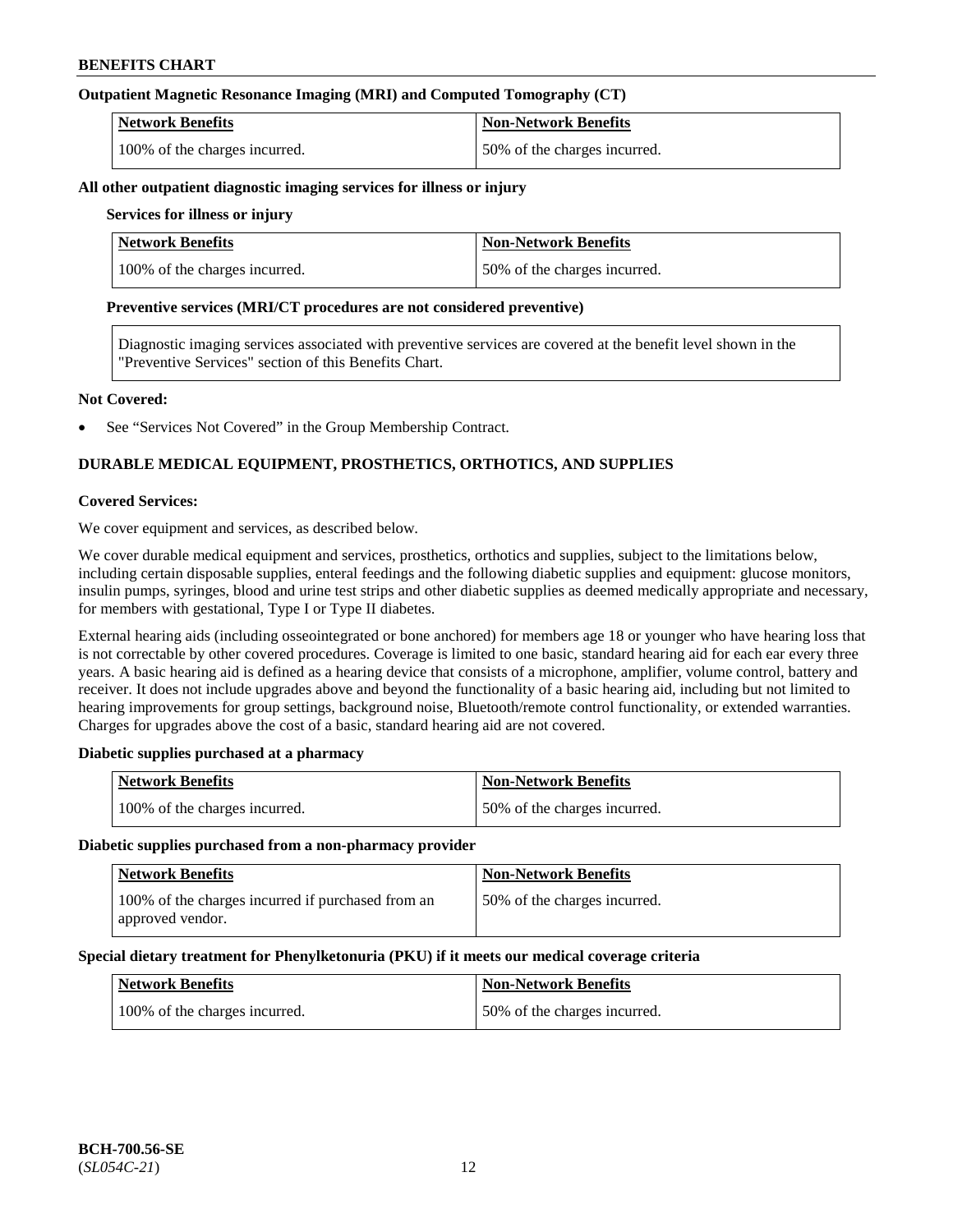## **Outpatient Magnetic Resonance Imaging (MRI) and Computed Tomography (CT)**

| <b>Network Benefits</b>       | <b>Non-Network Benefits</b>  |
|-------------------------------|------------------------------|
| 100% of the charges incurred. | 50% of the charges incurred. |

#### **All other outpatient diagnostic imaging services for illness or injury**

### **Services for illness or injury**

| <b>Network Benefits</b>       | <b>Non-Network Benefits</b>  |
|-------------------------------|------------------------------|
| 100% of the charges incurred. | 50% of the charges incurred. |

#### **Preventive services (MRI/CT procedures are not considered preventive)**

Diagnostic imaging services associated with preventive services are covered at the benefit level shown in the "Preventive Services" section of this Benefits Chart.

#### **Not Covered:**

See "Services Not Covered" in the Group Membership Contract.

## **DURABLE MEDICAL EQUIPMENT, PROSTHETICS, ORTHOTICS, AND SUPPLIES**

#### **Covered Services:**

We cover equipment and services, as described below.

We cover durable medical equipment and services, prosthetics, orthotics and supplies, subject to the limitations below, including certain disposable supplies, enteral feedings and the following diabetic supplies and equipment: glucose monitors, insulin pumps, syringes, blood and urine test strips and other diabetic supplies as deemed medically appropriate and necessary, for members with gestational, Type I or Type II diabetes.

External hearing aids (including osseointegrated or bone anchored) for members age 18 or younger who have hearing loss that is not correctable by other covered procedures. Coverage is limited to one basic, standard hearing aid for each ear every three years. A basic hearing aid is defined as a hearing device that consists of a microphone, amplifier, volume control, battery and receiver. It does not include upgrades above and beyond the functionality of a basic hearing aid, including but not limited to hearing improvements for group settings, background noise, Bluetooth/remote control functionality, or extended warranties. Charges for upgrades above the cost of a basic, standard hearing aid are not covered.

## **Diabetic supplies purchased at a pharmacy**

| <b>Network Benefits</b>       | <b>Non-Network Benefits</b>  |
|-------------------------------|------------------------------|
| 100% of the charges incurred. | 50% of the charges incurred. |

#### **Diabetic supplies purchased from a non-pharmacy provider**

| <b>Network Benefits</b>                                               | <b>Non-Network Benefits</b>  |
|-----------------------------------------------------------------------|------------------------------|
| 100% of the charges incurred if purchased from an<br>approved vendor. | 50% of the charges incurred. |

#### **Special dietary treatment for Phenylketonuria (PKU) if it meets our medical coverage criteria**

| <b>Network Benefits</b>       | <b>Non-Network Benefits</b>  |
|-------------------------------|------------------------------|
| 100% of the charges incurred. | 50% of the charges incurred. |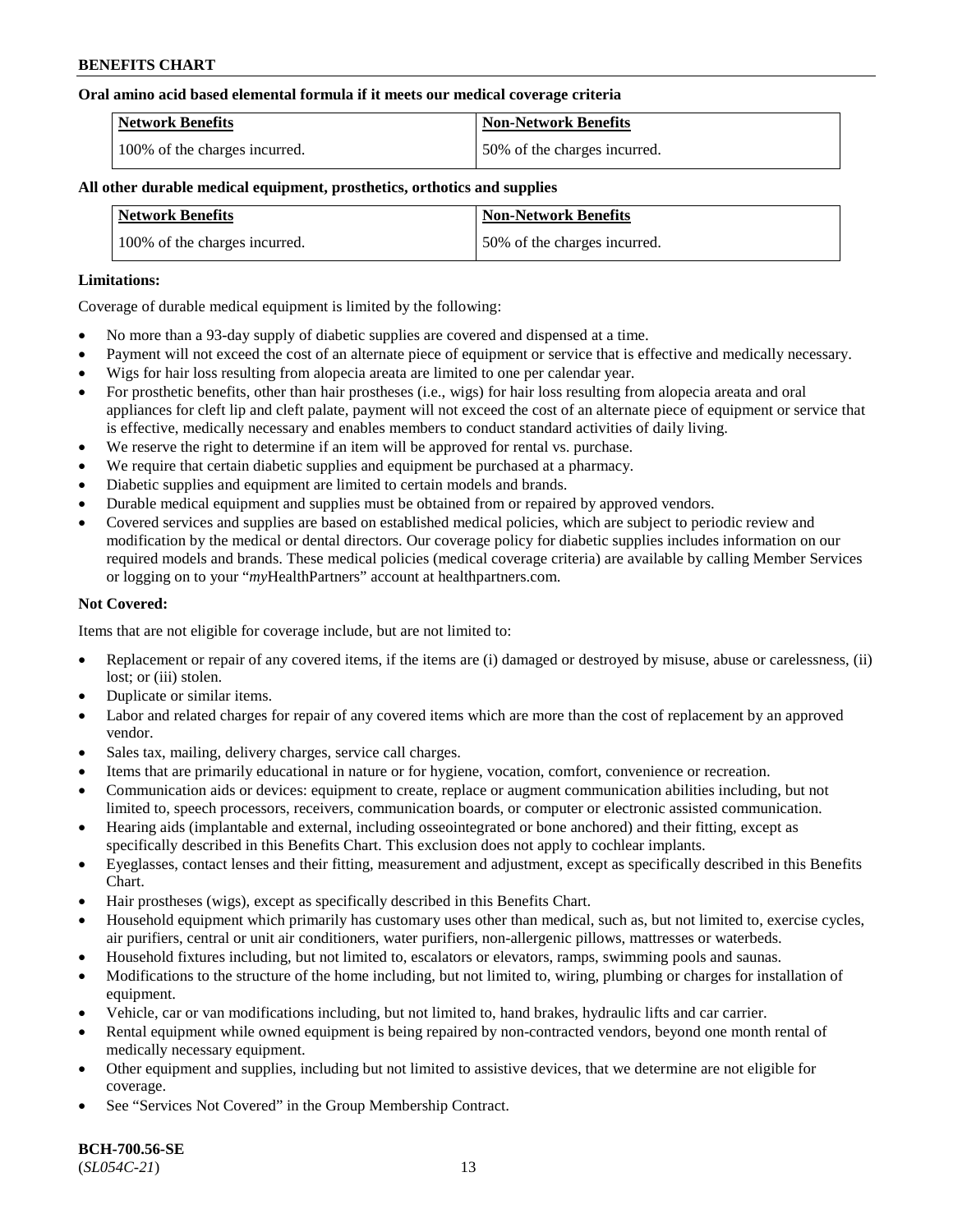#### **Oral amino acid based elemental formula if it meets our medical coverage criteria**

| Network Benefits              | Non-Network Benefits         |
|-------------------------------|------------------------------|
| 100% of the charges incurred. | 50% of the charges incurred. |

### **All other durable medical equipment, prosthetics, orthotics and supplies**

| <b>Network Benefits</b>       | <b>Non-Network Benefits</b>  |
|-------------------------------|------------------------------|
| 100% of the charges incurred. | 50% of the charges incurred. |

#### **Limitations:**

Coverage of durable medical equipment is limited by the following:

- No more than a 93-day supply of diabetic supplies are covered and dispensed at a time.
- Payment will not exceed the cost of an alternate piece of equipment or service that is effective and medically necessary.
- Wigs for hair loss resulting from alopecia areata are limited to one per calendar year.
- For prosthetic benefits, other than hair prostheses (i.e., wigs) for hair loss resulting from alopecia areata and oral appliances for cleft lip and cleft palate, payment will not exceed the cost of an alternate piece of equipment or service that is effective, medically necessary and enables members to conduct standard activities of daily living.
- We reserve the right to determine if an item will be approved for rental vs. purchase.
- We require that certain diabetic supplies and equipment be purchased at a pharmacy.
- Diabetic supplies and equipment are limited to certain models and brands.
- Durable medical equipment and supplies must be obtained from or repaired by approved vendors.
- Covered services and supplies are based on established medical policies, which are subject to periodic review and modification by the medical or dental directors. Our coverage policy for diabetic supplies includes information on our required models and brands. These medical policies (medical coverage criteria) are available by calling Member Services or logging on to your "*my*HealthPartners" account a[t healthpartners.com.](https://www.healthpartners.com/hp/index.html)

## **Not Covered:**

Items that are not eligible for coverage include, but are not limited to:

- Replacement or repair of any covered items, if the items are (i) damaged or destroyed by misuse, abuse or carelessness, (ii) lost; or (iii) stolen.
- Duplicate or similar items.
- Labor and related charges for repair of any covered items which are more than the cost of replacement by an approved vendor.
- Sales tax, mailing, delivery charges, service call charges.
- Items that are primarily educational in nature or for hygiene, vocation, comfort, convenience or recreation.
- Communication aids or devices: equipment to create, replace or augment communication abilities including, but not limited to, speech processors, receivers, communication boards, or computer or electronic assisted communication.
- Hearing aids (implantable and external, including osseointegrated or bone anchored) and their fitting, except as specifically described in this Benefits Chart. This exclusion does not apply to cochlear implants.
- Eyeglasses, contact lenses and their fitting, measurement and adjustment, except as specifically described in this Benefits Chart.
- Hair prostheses (wigs), except as specifically described in this Benefits Chart.
- Household equipment which primarily has customary uses other than medical, such as, but not limited to, exercise cycles, air purifiers, central or unit air conditioners, water purifiers, non-allergenic pillows, mattresses or waterbeds.
- Household fixtures including, but not limited to, escalators or elevators, ramps, swimming pools and saunas.
- Modifications to the structure of the home including, but not limited to, wiring, plumbing or charges for installation of equipment.
- Vehicle, car or van modifications including, but not limited to, hand brakes, hydraulic lifts and car carrier.
- Rental equipment while owned equipment is being repaired by non-contracted vendors, beyond one month rental of medically necessary equipment.
- Other equipment and supplies, including but not limited to assistive devices, that we determine are not eligible for coverage.
- See "Services Not Covered" in the Group Membership Contract.

**BCH-700.56-SE** (*SL054C-21*) 13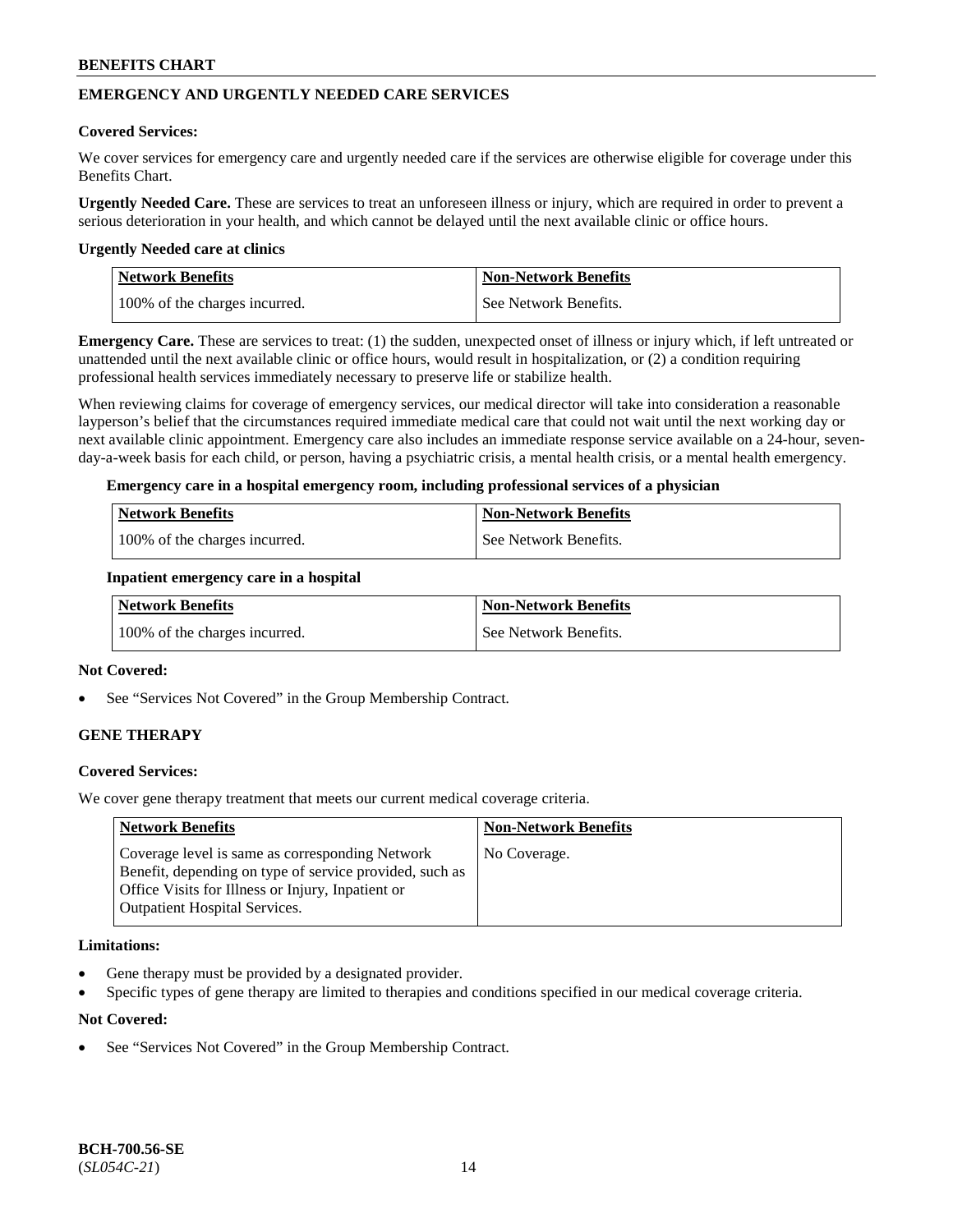## **EMERGENCY AND URGENTLY NEEDED CARE SERVICES**

#### **Covered Services:**

We cover services for emergency care and urgently needed care if the services are otherwise eligible for coverage under this Benefits Chart.

**Urgently Needed Care.** These are services to treat an unforeseen illness or injury, which are required in order to prevent a serious deterioration in your health, and which cannot be delayed until the next available clinic or office hours.

#### **Urgently Needed care at clinics**

| <b>Network Benefits</b>       | <b>Non-Network Benefits</b> |
|-------------------------------|-----------------------------|
| 100% of the charges incurred. | See Network Benefits.       |

**Emergency Care.** These are services to treat: (1) the sudden, unexpected onset of illness or injury which, if left untreated or unattended until the next available clinic or office hours, would result in hospitalization, or (2) a condition requiring professional health services immediately necessary to preserve life or stabilize health.

When reviewing claims for coverage of emergency services, our medical director will take into consideration a reasonable layperson's belief that the circumstances required immediate medical care that could not wait until the next working day or next available clinic appointment. Emergency care also includes an immediate response service available on a 24-hour, sevenday-a-week basis for each child, or person, having a psychiatric crisis, a mental health crisis, or a mental health emergency.

#### **Emergency care in a hospital emergency room, including professional services of a physician**

| <b>Network Benefits</b>       | Non-Network Benefits    |
|-------------------------------|-------------------------|
| 100% of the charges incurred. | l See Network Benefits. |

#### **Inpatient emergency care in a hospital**

| Network Benefits              | Non-Network Benefits  |
|-------------------------------|-----------------------|
| 100% of the charges incurred. | See Network Benefits. |

### **Not Covered:**

See "Services Not Covered" in the Group Membership Contract.

## **GENE THERAPY**

## **Covered Services:**

We cover gene therapy treatment that meets our current medical coverage criteria.

| <b>Network Benefits</b>                                                                                                                                                                                 | <b>Non-Network Benefits</b> |
|---------------------------------------------------------------------------------------------------------------------------------------------------------------------------------------------------------|-----------------------------|
| Coverage level is same as corresponding Network<br>Benefit, depending on type of service provided, such as<br>Office Visits for Illness or Injury, Inpatient or<br><b>Outpatient Hospital Services.</b> | No Coverage.                |

#### **Limitations:**

- Gene therapy must be provided by a designated provider.
- Specific types of gene therapy are limited to therapies and conditions specified in our medical coverage criteria.

#### **Not Covered:**

See "Services Not Covered" in the Group Membership Contract.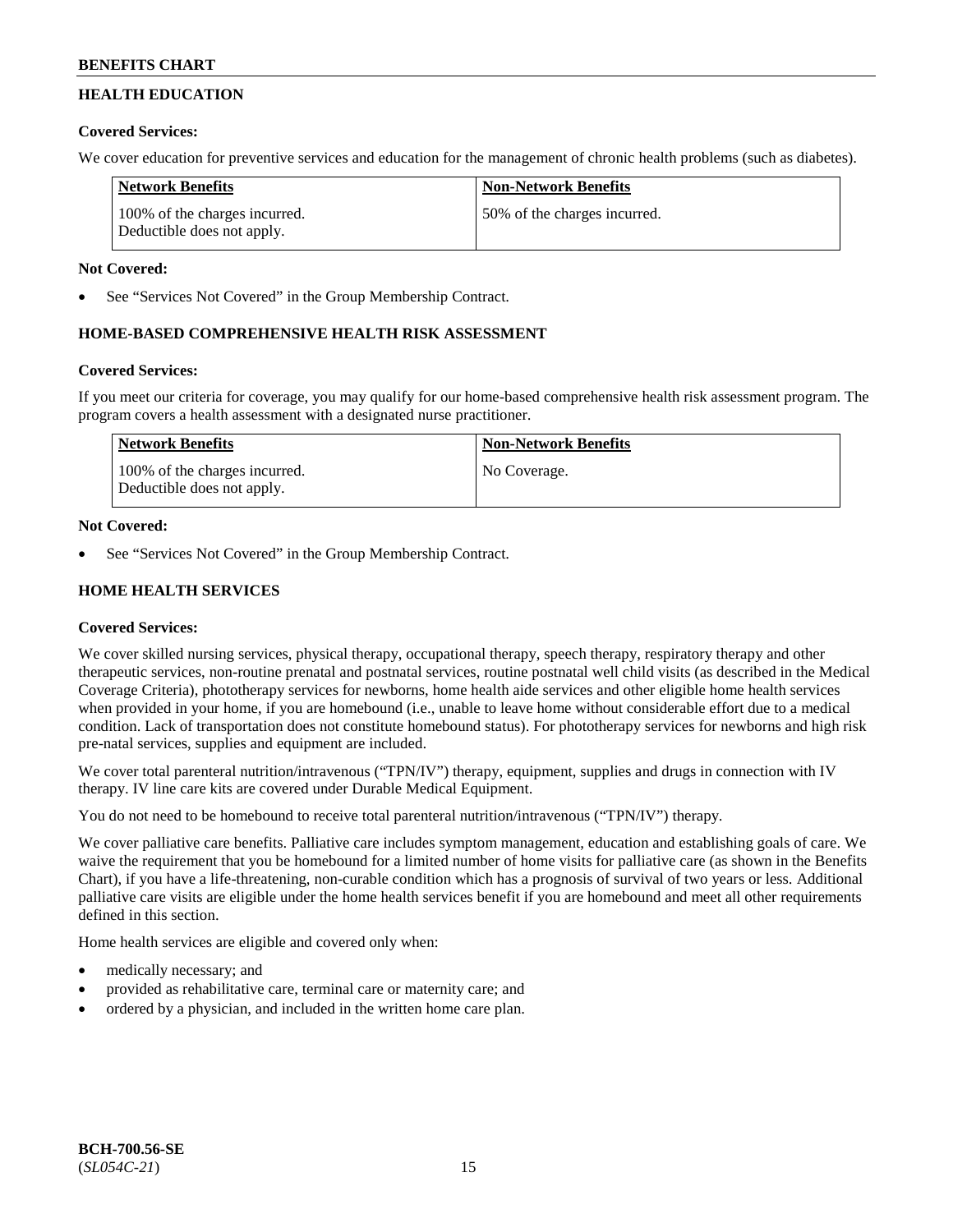## **HEALTH EDUCATION**

## **Covered Services:**

We cover education for preventive services and education for the management of chronic health problems (such as diabetes).

| Network Benefits                                            | <b>Non-Network Benefits</b>   |
|-------------------------------------------------------------|-------------------------------|
| 100% of the charges incurred.<br>Deductible does not apply. | 150% of the charges incurred. |

## **Not Covered:**

See "Services Not Covered" in the Group Membership Contract.

## **HOME-BASED COMPREHENSIVE HEALTH RISK ASSESSMENT**

## **Covered Services:**

If you meet our criteria for coverage, you may qualify for our home-based comprehensive health risk assessment program. The program covers a health assessment with a designated nurse practitioner.

| Network Benefits                                            | <b>Non-Network Benefits</b> |
|-------------------------------------------------------------|-----------------------------|
| 100% of the charges incurred.<br>Deductible does not apply. | No Coverage.                |

## **Not Covered:**

See "Services Not Covered" in the Group Membership Contract.

## **HOME HEALTH SERVICES**

## **Covered Services:**

We cover skilled nursing services, physical therapy, occupational therapy, speech therapy, respiratory therapy and other therapeutic services, non-routine prenatal and postnatal services, routine postnatal well child visits (as described in the Medical Coverage Criteria), phototherapy services for newborns, home health aide services and other eligible home health services when provided in your home, if you are homebound (i.e., unable to leave home without considerable effort due to a medical condition. Lack of transportation does not constitute homebound status). For phototherapy services for newborns and high risk pre-natal services, supplies and equipment are included.

We cover total parenteral nutrition/intravenous ("TPN/IV") therapy, equipment, supplies and drugs in connection with IV therapy. IV line care kits are covered under Durable Medical Equipment.

You do not need to be homebound to receive total parenteral nutrition/intravenous ("TPN/IV") therapy.

We cover palliative care benefits. Palliative care includes symptom management, education and establishing goals of care. We waive the requirement that you be homebound for a limited number of home visits for palliative care (as shown in the Benefits Chart), if you have a life-threatening, non-curable condition which has a prognosis of survival of two years or less. Additional palliative care visits are eligible under the home health services benefit if you are homebound and meet all other requirements defined in this section.

Home health services are eligible and covered only when:

- medically necessary; and
- provided as rehabilitative care, terminal care or maternity care; and
- ordered by a physician, and included in the written home care plan.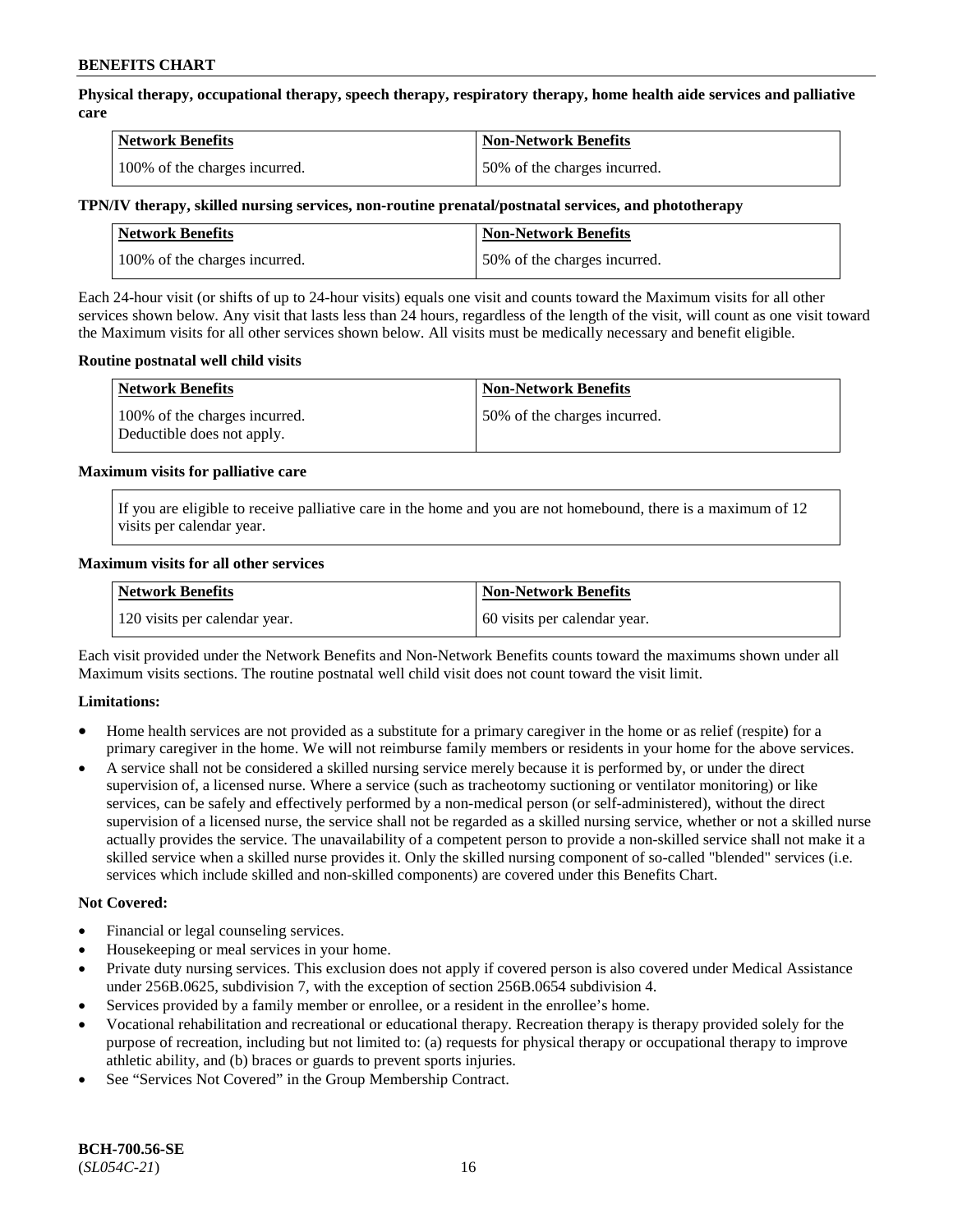**Physical therapy, occupational therapy, speech therapy, respiratory therapy, home health aide services and palliative care**

| <b>Network Benefits</b>       | <b>Non-Network Benefits</b>  |
|-------------------------------|------------------------------|
| 100% of the charges incurred. | 50% of the charges incurred. |

## **TPN/IV therapy, skilled nursing services, non-routine prenatal/postnatal services, and phototherapy**

| <b>Network Benefits</b>       | <b>Non-Network Benefits</b>  |
|-------------------------------|------------------------------|
| 100% of the charges incurred. | 50% of the charges incurred. |

Each 24-hour visit (or shifts of up to 24-hour visits) equals one visit and counts toward the Maximum visits for all other services shown below. Any visit that lasts less than 24 hours, regardless of the length of the visit, will count as one visit toward the Maximum visits for all other services shown below. All visits must be medically necessary and benefit eligible.

#### **Routine postnatal well child visits**

| <b>Network Benefits</b>                                     | <b>Non-Network Benefits</b>  |
|-------------------------------------------------------------|------------------------------|
| 100% of the charges incurred.<br>Deductible does not apply. | 50% of the charges incurred. |

#### **Maximum visits for palliative care**

If you are eligible to receive palliative care in the home and you are not homebound, there is a maximum of 12 visits per calendar year.

#### **Maximum visits for all other services**

| <b>Network Benefits</b>       | <b>Non-Network Benefits</b>  |
|-------------------------------|------------------------------|
| 120 visits per calendar year. | 60 visits per calendar year. |

Each visit provided under the Network Benefits and Non-Network Benefits counts toward the maximums shown under all Maximum visits sections. The routine postnatal well child visit does not count toward the visit limit.

## **Limitations:**

- Home health services are not provided as a substitute for a primary caregiver in the home or as relief (respite) for a primary caregiver in the home. We will not reimburse family members or residents in your home for the above services.
- A service shall not be considered a skilled nursing service merely because it is performed by, or under the direct supervision of, a licensed nurse. Where a service (such as tracheotomy suctioning or ventilator monitoring) or like services, can be safely and effectively performed by a non-medical person (or self-administered), without the direct supervision of a licensed nurse, the service shall not be regarded as a skilled nursing service, whether or not a skilled nurse actually provides the service. The unavailability of a competent person to provide a non-skilled service shall not make it a skilled service when a skilled nurse provides it. Only the skilled nursing component of so-called "blended" services (i.e. services which include skilled and non-skilled components) are covered under this Benefits Chart.

#### **Not Covered:**

- Financial or legal counseling services.
- Housekeeping or meal services in your home.
- Private duty nursing services. This exclusion does not apply if covered person is also covered under Medical Assistance under 256B.0625, subdivision 7, with the exception of section 256B.0654 subdivision 4.
- Services provided by a family member or enrollee, or a resident in the enrollee's home.
- Vocational rehabilitation and recreational or educational therapy. Recreation therapy is therapy provided solely for the purpose of recreation, including but not limited to: (a) requests for physical therapy or occupational therapy to improve athletic ability, and (b) braces or guards to prevent sports injuries.
- See "Services Not Covered" in the Group Membership Contract.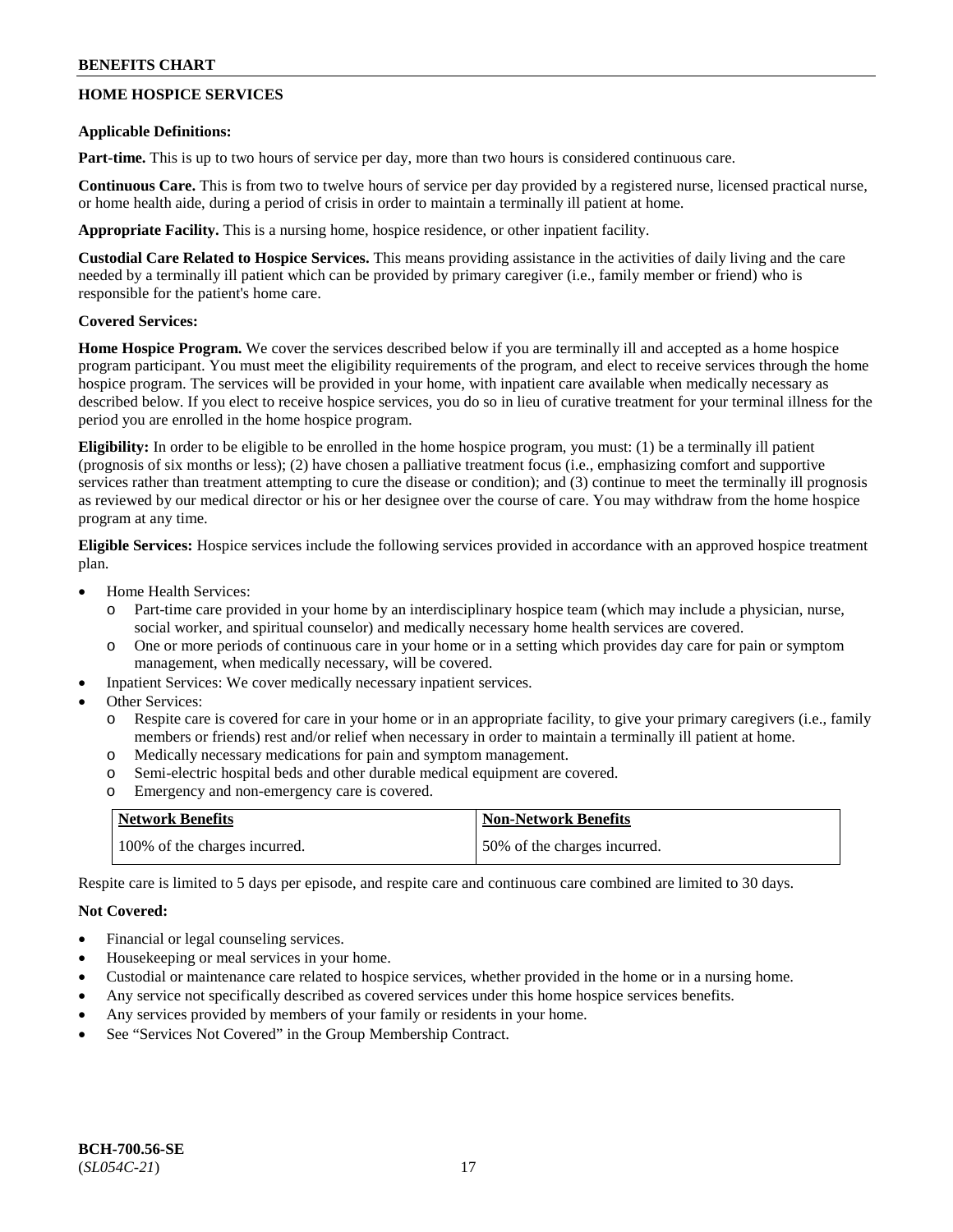## **HOME HOSPICE SERVICES**

### **Applicable Definitions:**

**Part-time.** This is up to two hours of service per day, more than two hours is considered continuous care.

**Continuous Care.** This is from two to twelve hours of service per day provided by a registered nurse, licensed practical nurse, or home health aide, during a period of crisis in order to maintain a terminally ill patient at home.

**Appropriate Facility.** This is a nursing home, hospice residence, or other inpatient facility.

**Custodial Care Related to Hospice Services.** This means providing assistance in the activities of daily living and the care needed by a terminally ill patient which can be provided by primary caregiver (i.e., family member or friend) who is responsible for the patient's home care.

## **Covered Services:**

**Home Hospice Program.** We cover the services described below if you are terminally ill and accepted as a home hospice program participant. You must meet the eligibility requirements of the program, and elect to receive services through the home hospice program. The services will be provided in your home, with inpatient care available when medically necessary as described below. If you elect to receive hospice services, you do so in lieu of curative treatment for your terminal illness for the period you are enrolled in the home hospice program.

**Eligibility:** In order to be eligible to be enrolled in the home hospice program, you must: (1) be a terminally ill patient (prognosis of six months or less); (2) have chosen a palliative treatment focus (i.e., emphasizing comfort and supportive services rather than treatment attempting to cure the disease or condition); and (3) continue to meet the terminally ill prognosis as reviewed by our medical director or his or her designee over the course of care. You may withdraw from the home hospice program at any time.

**Eligible Services:** Hospice services include the following services provided in accordance with an approved hospice treatment plan.

- Home Health Services:
	- o Part-time care provided in your home by an interdisciplinary hospice team (which may include a physician, nurse, social worker, and spiritual counselor) and medically necessary home health services are covered.
	- o One or more periods of continuous care in your home or in a setting which provides day care for pain or symptom management, when medically necessary, will be covered.
- Inpatient Services: We cover medically necessary inpatient services.
- Other Services:
	- o Respite care is covered for care in your home or in an appropriate facility, to give your primary caregivers (i.e., family members or friends) rest and/or relief when necessary in order to maintain a terminally ill patient at home.
	- o Medically necessary medications for pain and symptom management.
	- o Semi-electric hospital beds and other durable medical equipment are covered.
	- o Emergency and non-emergency care is covered.

| <b>Network Benefits</b>       | <b>Non-Network Benefits</b>  |
|-------------------------------|------------------------------|
| 100% of the charges incurred. | 50% of the charges incurred. |

Respite care is limited to 5 days per episode, and respite care and continuous care combined are limited to 30 days.

## **Not Covered:**

- Financial or legal counseling services.
- Housekeeping or meal services in your home.
- Custodial or maintenance care related to hospice services, whether provided in the home or in a nursing home.
- Any service not specifically described as covered services under this home hospice services benefits.
- Any services provided by members of your family or residents in your home.
- See "Services Not Covered" in the Group Membership Contract.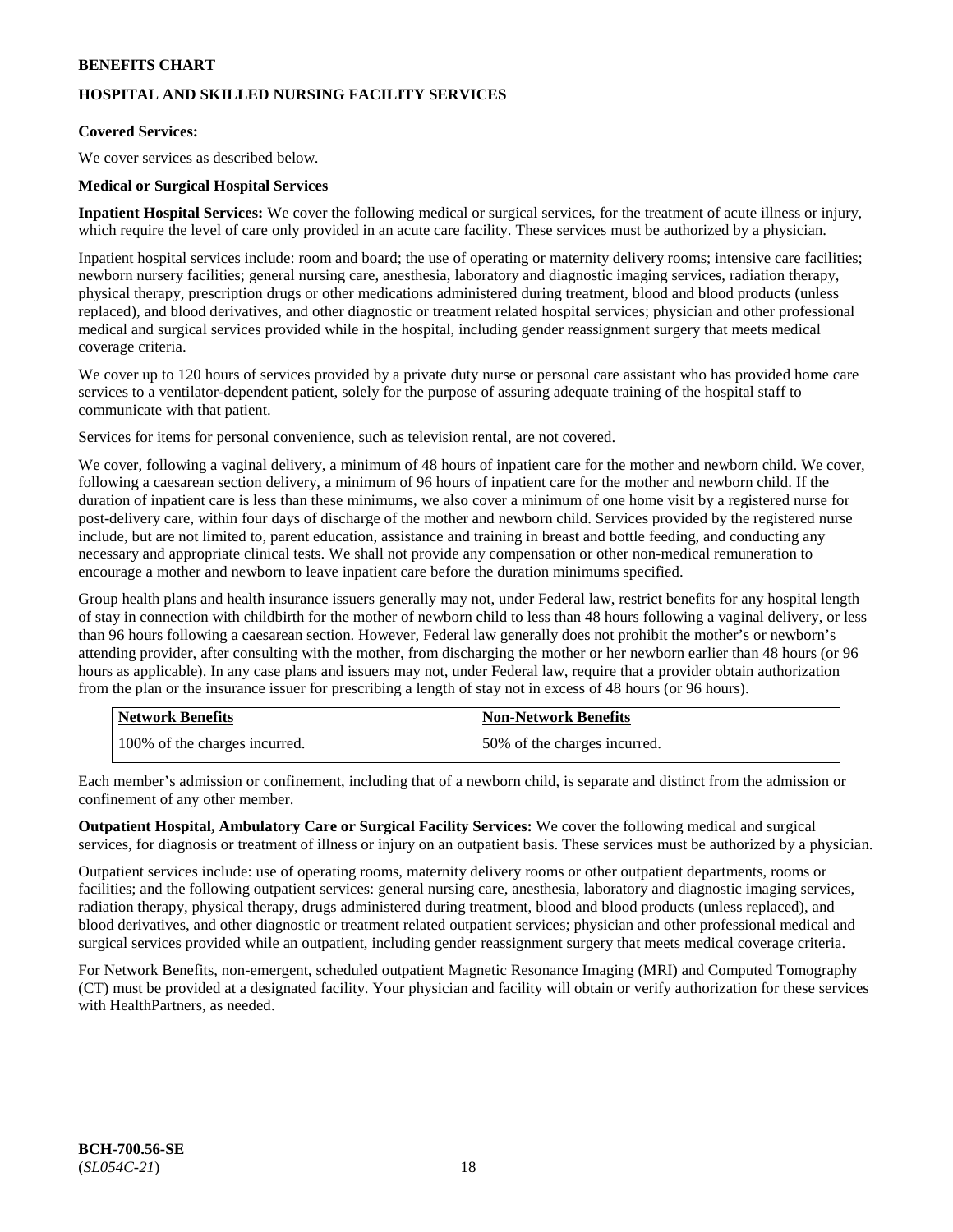## **HOSPITAL AND SKILLED NURSING FACILITY SERVICES**

### **Covered Services:**

We cover services as described below.

#### **Medical or Surgical Hospital Services**

**Inpatient Hospital Services:** We cover the following medical or surgical services, for the treatment of acute illness or injury, which require the level of care only provided in an acute care facility. These services must be authorized by a physician.

Inpatient hospital services include: room and board; the use of operating or maternity delivery rooms; intensive care facilities; newborn nursery facilities; general nursing care, anesthesia, laboratory and diagnostic imaging services, radiation therapy, physical therapy, prescription drugs or other medications administered during treatment, blood and blood products (unless replaced), and blood derivatives, and other diagnostic or treatment related hospital services; physician and other professional medical and surgical services provided while in the hospital, including gender reassignment surgery that meets medical coverage criteria.

We cover up to 120 hours of services provided by a private duty nurse or personal care assistant who has provided home care services to a ventilator-dependent patient, solely for the purpose of assuring adequate training of the hospital staff to communicate with that patient.

Services for items for personal convenience, such as television rental, are not covered.

We cover, following a vaginal delivery, a minimum of 48 hours of inpatient care for the mother and newborn child. We cover, following a caesarean section delivery, a minimum of 96 hours of inpatient care for the mother and newborn child. If the duration of inpatient care is less than these minimums, we also cover a minimum of one home visit by a registered nurse for post-delivery care, within four days of discharge of the mother and newborn child. Services provided by the registered nurse include, but are not limited to, parent education, assistance and training in breast and bottle feeding, and conducting any necessary and appropriate clinical tests. We shall not provide any compensation or other non-medical remuneration to encourage a mother and newborn to leave inpatient care before the duration minimums specified.

Group health plans and health insurance issuers generally may not, under Federal law, restrict benefits for any hospital length of stay in connection with childbirth for the mother of newborn child to less than 48 hours following a vaginal delivery, or less than 96 hours following a caesarean section. However, Federal law generally does not prohibit the mother's or newborn's attending provider, after consulting with the mother, from discharging the mother or her newborn earlier than 48 hours (or 96 hours as applicable). In any case plans and issuers may not, under Federal law, require that a provider obtain authorization from the plan or the insurance issuer for prescribing a length of stay not in excess of 48 hours (or 96 hours).

| <b>Network Benefits</b>       | Non-Network Benefits         |
|-------------------------------|------------------------------|
| 100% of the charges incurred. | 50% of the charges incurred. |

Each member's admission or confinement, including that of a newborn child, is separate and distinct from the admission or confinement of any other member.

**Outpatient Hospital, Ambulatory Care or Surgical Facility Services:** We cover the following medical and surgical services, for diagnosis or treatment of illness or injury on an outpatient basis. These services must be authorized by a physician.

Outpatient services include: use of operating rooms, maternity delivery rooms or other outpatient departments, rooms or facilities; and the following outpatient services: general nursing care, anesthesia, laboratory and diagnostic imaging services, radiation therapy, physical therapy, drugs administered during treatment, blood and blood products (unless replaced), and blood derivatives, and other diagnostic or treatment related outpatient services; physician and other professional medical and surgical services provided while an outpatient, including gender reassignment surgery that meets medical coverage criteria.

For Network Benefits, non-emergent, scheduled outpatient Magnetic Resonance Imaging (MRI) and Computed Tomography (CT) must be provided at a designated facility. Your physician and facility will obtain or verify authorization for these services with HealthPartners, as needed.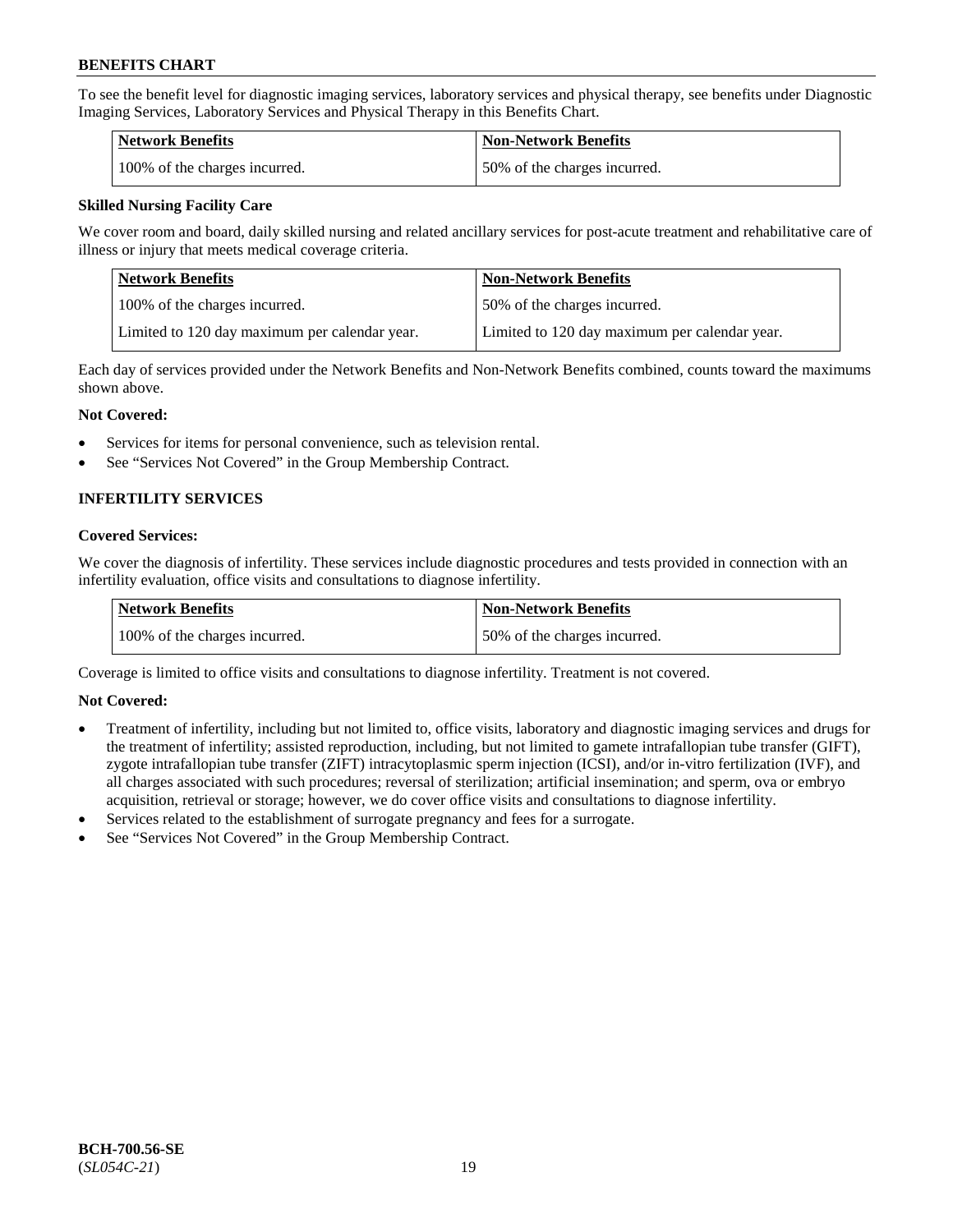To see the benefit level for diagnostic imaging services, laboratory services and physical therapy, see benefits under Diagnostic Imaging Services, Laboratory Services and Physical Therapy in this Benefits Chart.

| <b>Network Benefits</b>       | Non-Network Benefits         |
|-------------------------------|------------------------------|
| 100% of the charges incurred. | 50% of the charges incurred. |

## **Skilled Nursing Facility Care**

We cover room and board, daily skilled nursing and related ancillary services for post-acute treatment and rehabilitative care of illness or injury that meets medical coverage criteria.

| Network Benefits                              | <b>Non-Network Benefits</b>                   |
|-----------------------------------------------|-----------------------------------------------|
| 100\% of the charges incurred.                | 50% of the charges incurred.                  |
| Limited to 120 day maximum per calendar year. | Limited to 120 day maximum per calendar year. |

Each day of services provided under the Network Benefits and Non-Network Benefits combined, counts toward the maximums shown above.

#### **Not Covered:**

- Services for items for personal convenience, such as television rental.
- See "Services Not Covered" in the Group Membership Contract.

## **INFERTILITY SERVICES**

#### **Covered Services:**

We cover the diagnosis of infertility. These services include diagnostic procedures and tests provided in connection with an infertility evaluation, office visits and consultations to diagnose infertility.

| Network Benefits              | <b>Non-Network Benefits</b>  |
|-------------------------------|------------------------------|
| 100% of the charges incurred. | 50% of the charges incurred. |

Coverage is limited to office visits and consultations to diagnose infertility. Treatment is not covered.

## **Not Covered:**

- Treatment of infertility, including but not limited to, office visits, laboratory and diagnostic imaging services and drugs for the treatment of infertility; assisted reproduction, including, but not limited to gamete intrafallopian tube transfer (GIFT), zygote intrafallopian tube transfer (ZIFT) intracytoplasmic sperm injection (ICSI), and/or in-vitro fertilization (IVF), and all charges associated with such procedures; reversal of sterilization; artificial insemination; and sperm, ova or embryo acquisition, retrieval or storage; however, we do cover office visits and consultations to diagnose infertility.
- Services related to the establishment of surrogate pregnancy and fees for a surrogate.
- See "Services Not Covered" in the Group Membership Contract.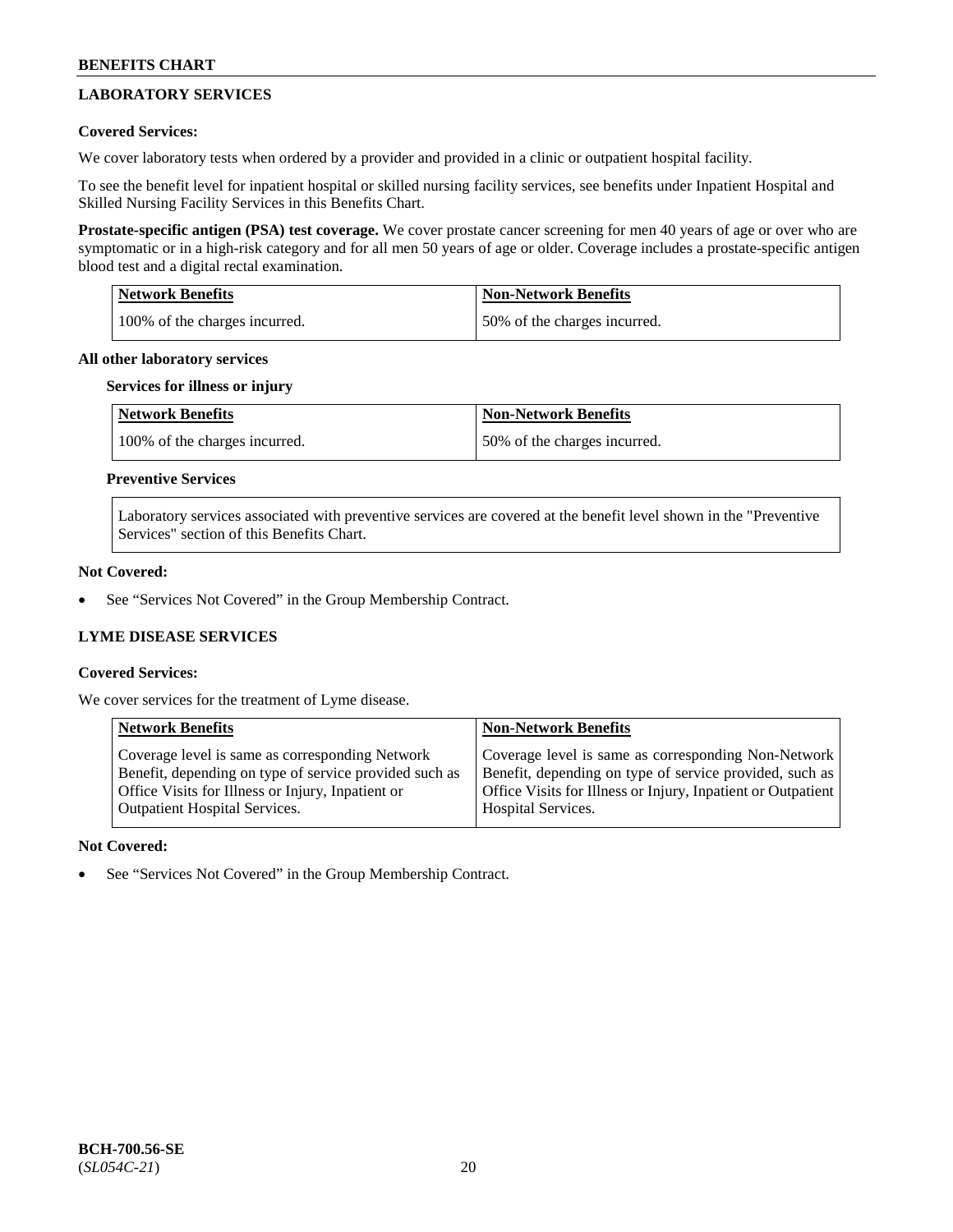## **LABORATORY SERVICES**

## **Covered Services:**

We cover laboratory tests when ordered by a provider and provided in a clinic or outpatient hospital facility.

To see the benefit level for inpatient hospital or skilled nursing facility services, see benefits under Inpatient Hospital and Skilled Nursing Facility Services in this Benefits Chart.

**Prostate-specific antigen (PSA) test coverage.** We cover prostate cancer screening for men 40 years of age or over who are symptomatic or in a high-risk category and for all men 50 years of age or older. Coverage includes a prostate-specific antigen blood test and a digital rectal examination.

| <b>Network Benefits</b>       | <b>Non-Network Benefits</b>  |
|-------------------------------|------------------------------|
| 100% of the charges incurred. | 50% of the charges incurred. |

#### **All other laboratory services**

#### **Services for illness or injury**

| Network Benefits              | <b>Non-Network Benefits</b>  |
|-------------------------------|------------------------------|
| 100% of the charges incurred. | 50% of the charges incurred. |

## **Preventive Services**

Laboratory services associated with preventive services are covered at the benefit level shown in the "Preventive Services" section of this Benefits Chart.

## **Not Covered:**

See "Services Not Covered" in the Group Membership Contract.

## **LYME DISEASE SERVICES**

## **Covered Services:**

We cover services for the treatment of Lyme disease.

| <b>Network Benefits</b>                                | <b>Non-Network Benefits</b>                                  |
|--------------------------------------------------------|--------------------------------------------------------------|
| Coverage level is same as corresponding Network        | Coverage level is same as corresponding Non-Network          |
| Benefit, depending on type of service provided such as | Benefit, depending on type of service provided, such as      |
| Office Visits for Illness or Injury, Inpatient or      | Office Visits for Illness or Injury, Inpatient or Outpatient |
| <b>Outpatient Hospital Services.</b>                   | Hospital Services.                                           |

## **Not Covered:**

See "Services Not Covered" in the Group Membership Contract.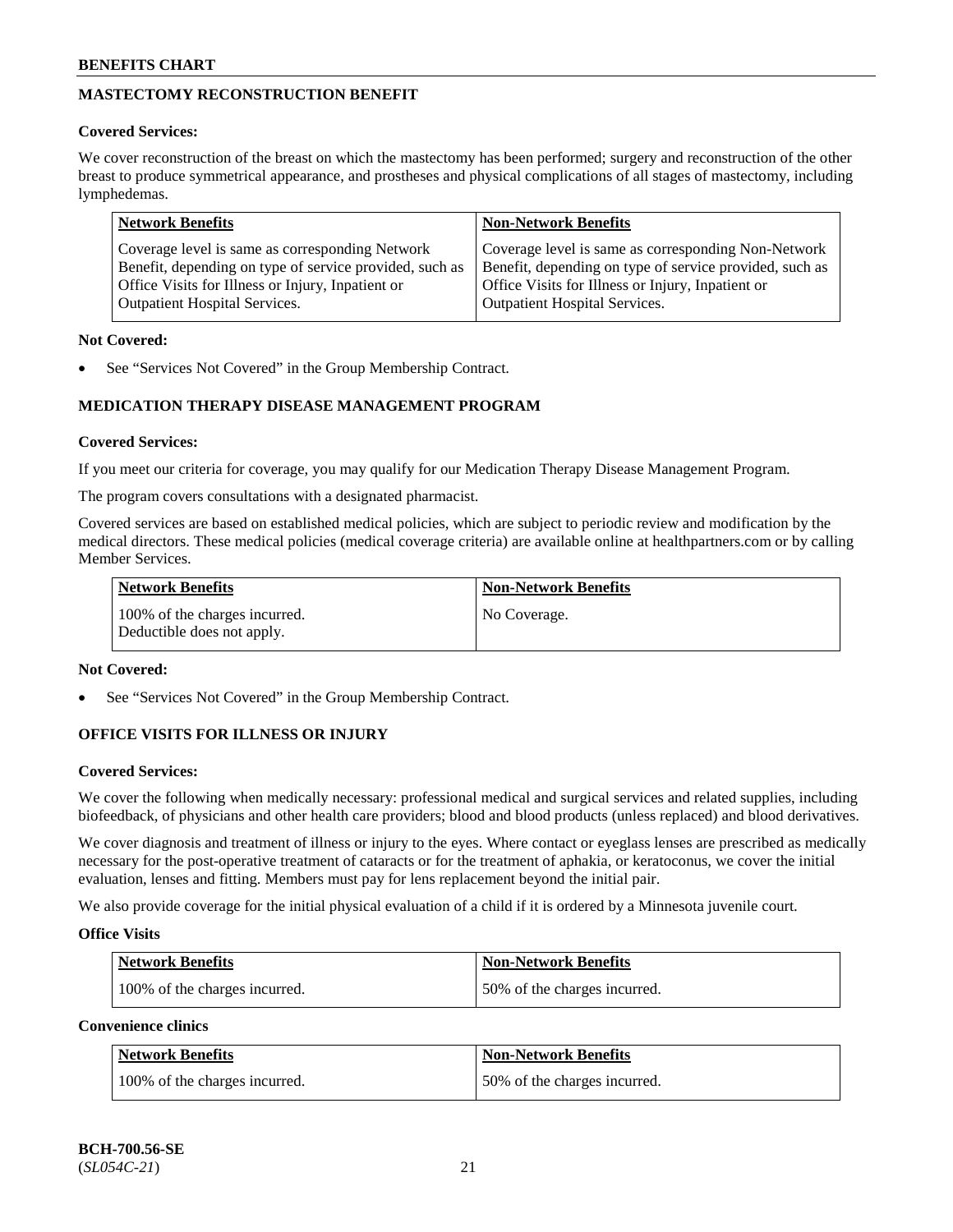## **MASTECTOMY RECONSTRUCTION BENEFIT**

## **Covered Services:**

We cover reconstruction of the breast on which the mastectomy has been performed; surgery and reconstruction of the other breast to produce symmetrical appearance, and prostheses and physical complications of all stages of mastectomy, including lymphedemas.

| <b>Network Benefits</b>                                 | <b>Non-Network Benefits</b>                             |
|---------------------------------------------------------|---------------------------------------------------------|
| Coverage level is same as corresponding Network         | Coverage level is same as corresponding Non-Network     |
| Benefit, depending on type of service provided, such as | Benefit, depending on type of service provided, such as |
| Office Visits for Illness or Injury, Inpatient or       | Office Visits for Illness or Injury, Inpatient or       |
| <b>Outpatient Hospital Services.</b>                    | <b>Outpatient Hospital Services.</b>                    |

## **Not Covered:**

See "Services Not Covered" in the Group Membership Contract.

## **MEDICATION THERAPY DISEASE MANAGEMENT PROGRAM**

## **Covered Services:**

If you meet our criteria for coverage, you may qualify for our Medication Therapy Disease Management Program.

The program covers consultations with a designated pharmacist.

Covered services are based on established medical policies, which are subject to periodic review and modification by the medical directors. These medical policies (medical coverage criteria) are available online at [healthpartners.com](https://www.healthpartners.com/hp/index.html) or by calling Member Services.

| Network Benefits                                            | <b>Non-Network Benefits</b> |
|-------------------------------------------------------------|-----------------------------|
| 100% of the charges incurred.<br>Deductible does not apply. | No Coverage.                |

## **Not Covered:**

See "Services Not Covered" in the Group Membership Contract.

## **OFFICE VISITS FOR ILLNESS OR INJURY**

## **Covered Services:**

We cover the following when medically necessary: professional medical and surgical services and related supplies, including biofeedback, of physicians and other health care providers; blood and blood products (unless replaced) and blood derivatives.

We cover diagnosis and treatment of illness or injury to the eyes. Where contact or eyeglass lenses are prescribed as medically necessary for the post-operative treatment of cataracts or for the treatment of aphakia, or keratoconus, we cover the initial evaluation, lenses and fitting. Members must pay for lens replacement beyond the initial pair.

We also provide coverage for the initial physical evaluation of a child if it is ordered by a Minnesota juvenile court.

## **Office Visits**

| <b>Network Benefits</b>       | <b>Non-Network Benefits</b>  |
|-------------------------------|------------------------------|
| 100% of the charges incurred. | 50% of the charges incurred. |

**Convenience clinics**

| Network Benefits              | <b>Non-Network Benefits</b>  |
|-------------------------------|------------------------------|
| 100% of the charges incurred. | 50% of the charges incurred. |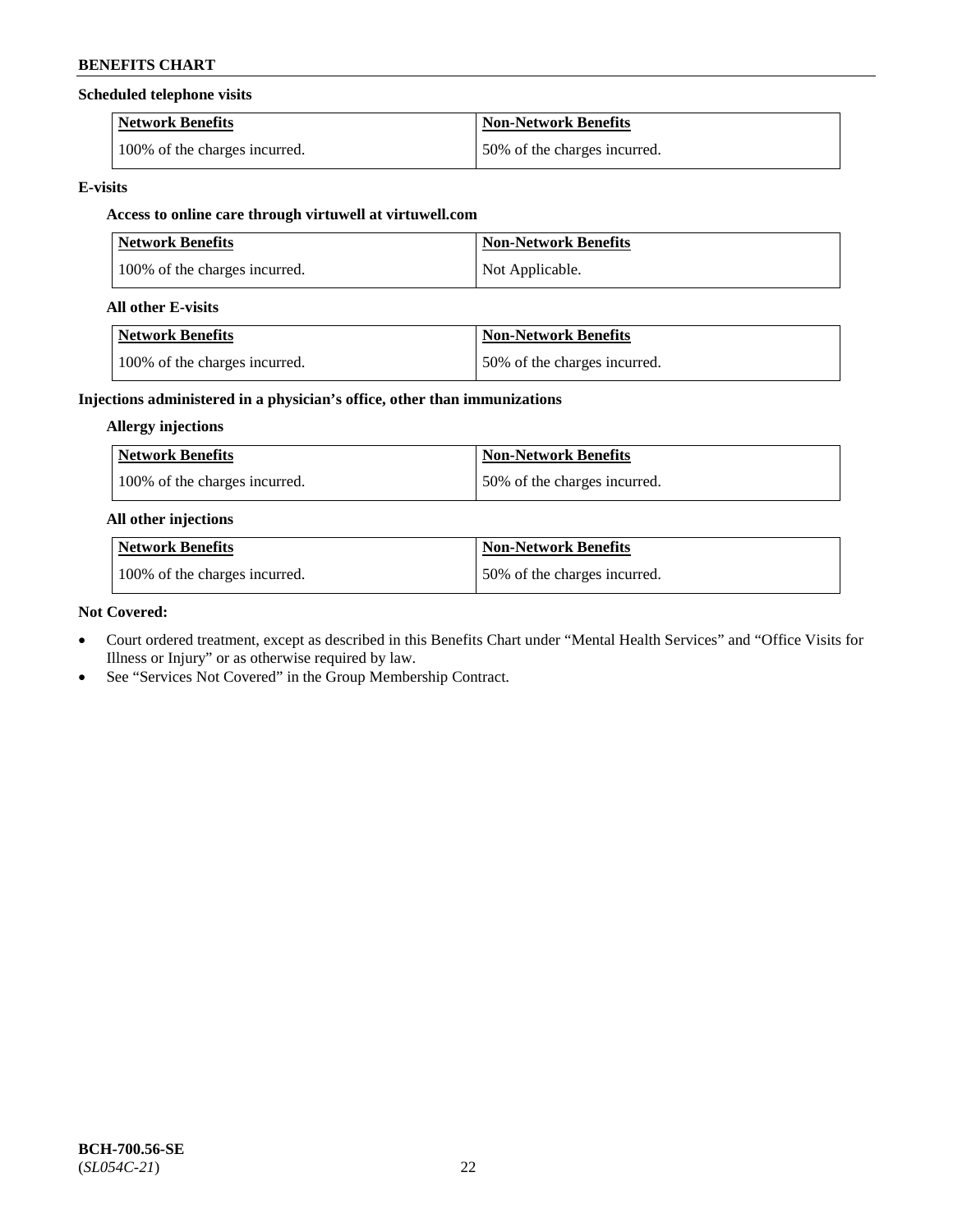## **Scheduled telephone visits**

| <b>Network Benefits</b>       | <b>Non-Network Benefits</b>  |
|-------------------------------|------------------------------|
| 100% of the charges incurred. | 50% of the charges incurred. |

## **E-visits**

## **Access to online care through virtuwell at [virtuwell.com](https://www.virtuwell.com/)**

| <b>Network Benefits</b>       | <b>Non-Network Benefits</b> |
|-------------------------------|-----------------------------|
| 100% of the charges incurred. | Not Applicable.             |

## **All other E-visits**

| Network Benefits              | <b>Non-Network Benefits</b>  |
|-------------------------------|------------------------------|
| 100% of the charges incurred. | 50% of the charges incurred. |

## **Injections administered in a physician's office, other than immunizations**

## **Allergy injections**

| <b>Network Benefits</b>       | <b>Non-Network Benefits</b>  |
|-------------------------------|------------------------------|
| 100% of the charges incurred. | 50% of the charges incurred. |

## **All other injections**

| <b>Network Benefits</b>       | <b>Non-Network Benefits</b>  |
|-------------------------------|------------------------------|
| 100% of the charges incurred. | 50% of the charges incurred. |

## **Not Covered:**

- Court ordered treatment, except as described in this Benefits Chart under "Mental Health Services" and "Office Visits for Illness or Injury" or as otherwise required by law.
- See "Services Not Covered" in the Group Membership Contract.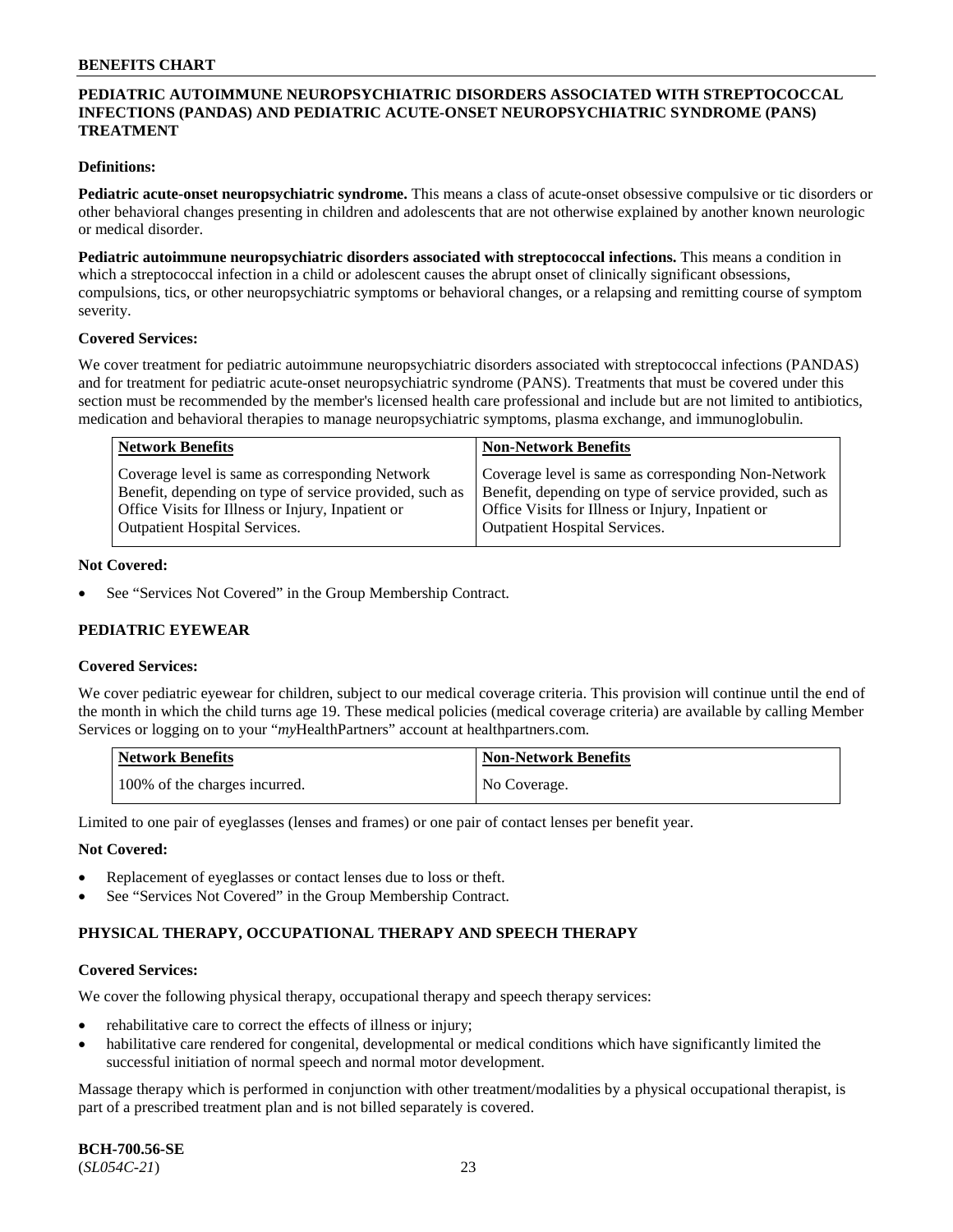## **PEDIATRIC AUTOIMMUNE NEUROPSYCHIATRIC DISORDERS ASSOCIATED WITH STREPTOCOCCAL INFECTIONS (PANDAS) AND PEDIATRIC ACUTE-ONSET NEUROPSYCHIATRIC SYNDROME (PANS) TREATMENT**

### **Definitions:**

**Pediatric acute-onset neuropsychiatric syndrome.** This means a class of acute-onset obsessive compulsive or tic disorders or other behavioral changes presenting in children and adolescents that are not otherwise explained by another known neurologic or medical disorder.

**Pediatric autoimmune neuropsychiatric disorders associated with streptococcal infections.** This means a condition in which a streptococcal infection in a child or adolescent causes the abrupt onset of clinically significant obsessions, compulsions, tics, or other neuropsychiatric symptoms or behavioral changes, or a relapsing and remitting course of symptom severity.

#### **Covered Services:**

We cover treatment for pediatric autoimmune neuropsychiatric disorders associated with streptococcal infections (PANDAS) and for treatment for pediatric acute-onset neuropsychiatric syndrome (PANS). Treatments that must be covered under this section must be recommended by the member's licensed health care professional and include but are not limited to antibiotics, medication and behavioral therapies to manage neuropsychiatric symptoms, plasma exchange, and immunoglobulin.

| <b>Network Benefits</b>                                                                                                                                         | <b>Non-Network Benefits</b>                                                                                                                                         |
|-----------------------------------------------------------------------------------------------------------------------------------------------------------------|---------------------------------------------------------------------------------------------------------------------------------------------------------------------|
| Coverage level is same as corresponding Network<br>Benefit, depending on type of service provided, such as<br>Office Visits for Illness or Injury, Inpatient or | Coverage level is same as corresponding Non-Network<br>Benefit, depending on type of service provided, such as<br>Office Visits for Illness or Injury, Inpatient or |
| <b>Outpatient Hospital Services.</b>                                                                                                                            | <b>Outpatient Hospital Services.</b>                                                                                                                                |

#### **Not Covered:**

See "Services Not Covered" in the Group Membership Contract.

## **PEDIATRIC EYEWEAR**

#### **Covered Services:**

We cover pediatric eyewear for children, subject to our medical coverage criteria. This provision will continue until the end of the month in which the child turns age 19. These medical policies (medical coverage criteria) are available by calling Member Services or logging on to your "*my*HealthPartners" account at [healthpartners.com.](https://www.healthpartners.com/hp/index.html)

| Network Benefits              | <b>Non-Network Benefits</b> |
|-------------------------------|-----------------------------|
| 100% of the charges incurred. | No Coverage.                |

Limited to one pair of eyeglasses (lenses and frames) or one pair of contact lenses per benefit year.

#### **Not Covered:**

- Replacement of eyeglasses or contact lenses due to loss or theft.
- See "Services Not Covered" in the Group Membership Contract.

## **PHYSICAL THERAPY, OCCUPATIONAL THERAPY AND SPEECH THERAPY**

#### **Covered Services:**

We cover the following physical therapy, occupational therapy and speech therapy services:

- rehabilitative care to correct the effects of illness or injury;
- habilitative care rendered for congenital, developmental or medical conditions which have significantly limited the successful initiation of normal speech and normal motor development.

Massage therapy which is performed in conjunction with other treatment/modalities by a physical occupational therapist, is part of a prescribed treatment plan and is not billed separately is covered.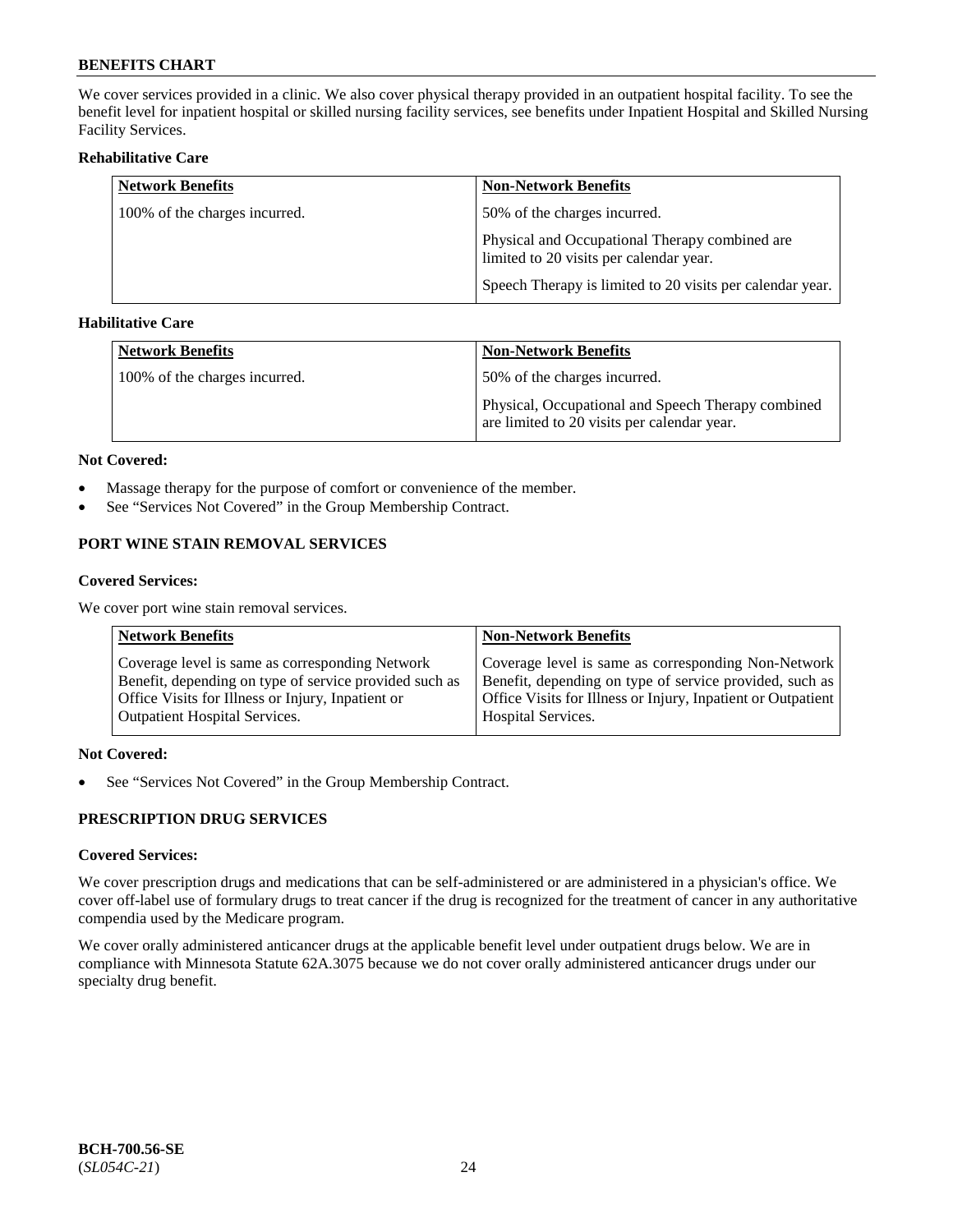We cover services provided in a clinic. We also cover physical therapy provided in an outpatient hospital facility. To see the benefit level for inpatient hospital or skilled nursing facility services, see benefits under Inpatient Hospital and Skilled Nursing Facility Services.

### **Rehabilitative Care**

| <b>Network Benefits</b>       | <b>Non-Network Benefits</b>                                                               |
|-------------------------------|-------------------------------------------------------------------------------------------|
| 100% of the charges incurred. | 50% of the charges incurred.                                                              |
|                               | Physical and Occupational Therapy combined are<br>limited to 20 visits per calendar year. |
|                               | Speech Therapy is limited to 20 visits per calendar year.                                 |

## **Habilitative Care**

| <b>Network Benefits</b>       | <b>Non-Network Benefits</b>                                                                       |
|-------------------------------|---------------------------------------------------------------------------------------------------|
| 100% of the charges incurred. | 50% of the charges incurred.                                                                      |
|                               | Physical, Occupational and Speech Therapy combined<br>are limited to 20 visits per calendar year. |

#### **Not Covered:**

- Massage therapy for the purpose of comfort or convenience of the member.
- See "Services Not Covered" in the Group Membership Contract.

## **PORT WINE STAIN REMOVAL SERVICES**

#### **Covered Services:**

We cover port wine stain removal services.

| <b>Network Benefits</b>                                | <b>Non-Network Benefits</b>                                  |
|--------------------------------------------------------|--------------------------------------------------------------|
| Coverage level is same as corresponding Network        | Coverage level is same as corresponding Non-Network          |
| Benefit, depending on type of service provided such as | Benefit, depending on type of service provided, such as      |
| Office Visits for Illness or Injury, Inpatient or      | Office Visits for Illness or Injury, Inpatient or Outpatient |
| <b>Outpatient Hospital Services.</b>                   | <b>Hospital Services.</b>                                    |

## **Not Covered:**

• See "Services Not Covered" in the Group Membership Contract.

## **PRESCRIPTION DRUG SERVICES**

## **Covered Services:**

We cover prescription drugs and medications that can be self-administered or are administered in a physician's office. We cover off-label use of formulary drugs to treat cancer if the drug is recognized for the treatment of cancer in any authoritative compendia used by the Medicare program.

We cover orally administered anticancer drugs at the applicable benefit level under outpatient drugs below. We are in compliance with Minnesota Statute 62A.3075 because we do not cover orally administered anticancer drugs under our specialty drug benefit.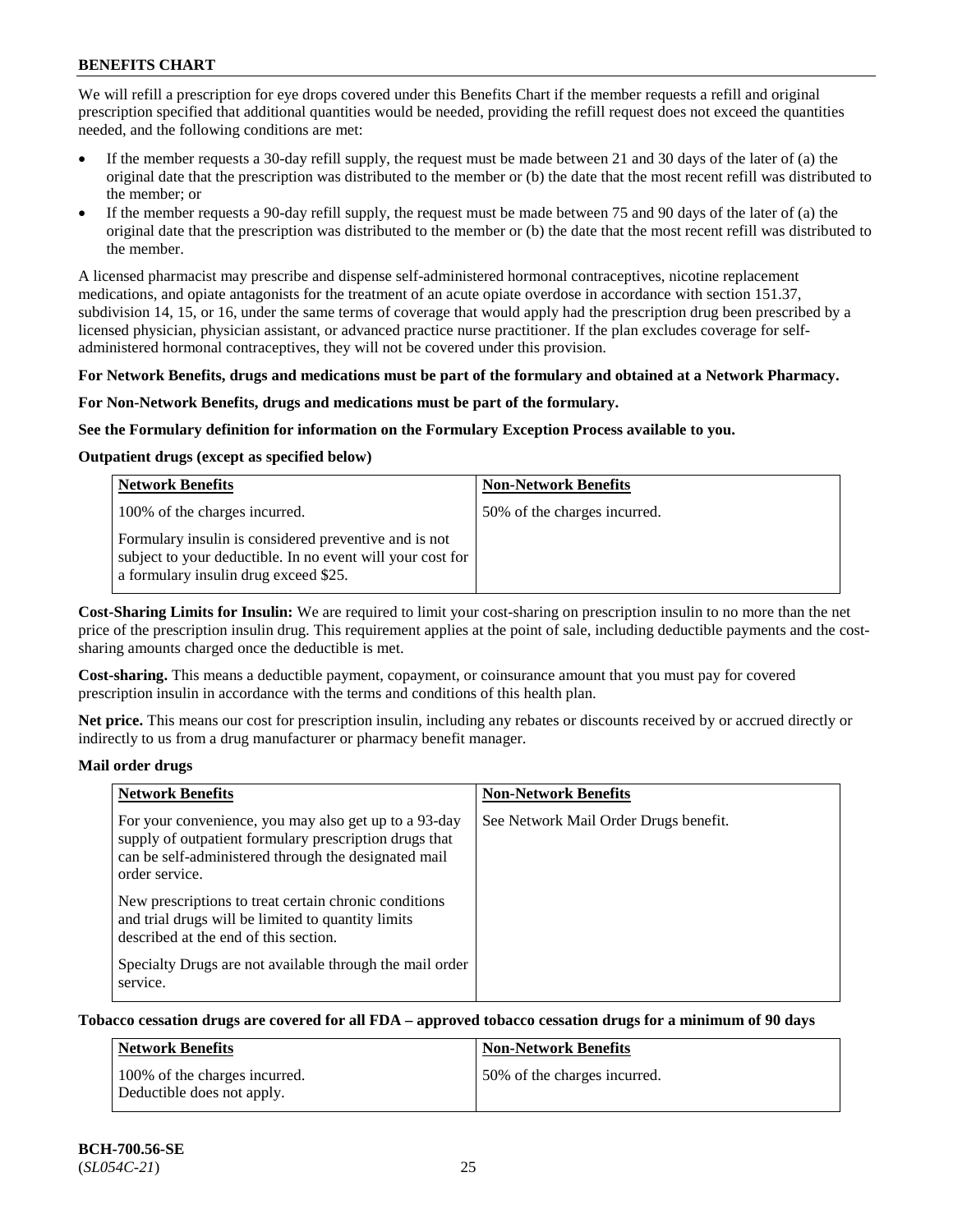We will refill a prescription for eye drops covered under this Benefits Chart if the member requests a refill and original prescription specified that additional quantities would be needed, providing the refill request does not exceed the quantities needed, and the following conditions are met:

- If the member requests a 30-day refill supply, the request must be made between 21 and 30 days of the later of (a) the original date that the prescription was distributed to the member or (b) the date that the most recent refill was distributed to the member; or
- If the member requests a 90-day refill supply, the request must be made between 75 and 90 days of the later of (a) the original date that the prescription was distributed to the member or (b) the date that the most recent refill was distributed to the member.

A licensed pharmacist may prescribe and dispense self-administered hormonal contraceptives, nicotine replacement medications, and opiate antagonists for the treatment of an acute opiate overdose in accordance with section 151.37, subdivision 14, 15, or 16, under the same terms of coverage that would apply had the prescription drug been prescribed by a licensed physician, physician assistant, or advanced practice nurse practitioner. If the plan excludes coverage for selfadministered hormonal contraceptives, they will not be covered under this provision.

#### **For Network Benefits, drugs and medications must be part of the formulary and obtained at a Network Pharmacy.**

#### **For Non-Network Benefits, drugs and medications must be part of the formulary.**

#### **See the Formulary definition for information on the Formulary Exception Process available to you.**

## **Outpatient drugs (except as specified below)**

| <b>Network Benefits</b>                                                                                                                                      | <b>Non-Network Benefits</b>  |
|--------------------------------------------------------------------------------------------------------------------------------------------------------------|------------------------------|
| 100% of the charges incurred.                                                                                                                                | 50% of the charges incurred. |
| Formulary insulin is considered preventive and is not<br>subject to your deductible. In no event will your cost for<br>a formulary insulin drug exceed \$25. |                              |

**Cost-Sharing Limits for Insulin:** We are required to limit your cost-sharing on prescription insulin to no more than the net price of the prescription insulin drug. This requirement applies at the point of sale, including deductible payments and the costsharing amounts charged once the deductible is met.

**Cost-sharing.** This means a deductible payment, copayment, or coinsurance amount that you must pay for covered prescription insulin in accordance with the terms and conditions of this health plan.

**Net price.** This means our cost for prescription insulin, including any rebates or discounts received by or accrued directly or indirectly to us from a drug manufacturer or pharmacy benefit manager.

#### **Mail order drugs**

| <b>Network Benefits</b>                                                                                                                                                                   | <b>Non-Network Benefits</b>           |
|-------------------------------------------------------------------------------------------------------------------------------------------------------------------------------------------|---------------------------------------|
| For your convenience, you may also get up to a 93-day<br>supply of outpatient formulary prescription drugs that<br>can be self-administered through the designated mail<br>order service. | See Network Mail Order Drugs benefit. |
| New prescriptions to treat certain chronic conditions<br>and trial drugs will be limited to quantity limits<br>described at the end of this section.                                      |                                       |
| Specialty Drugs are not available through the mail order<br>service.                                                                                                                      |                                       |

## **Tobacco cessation drugs are covered for all FDA – approved tobacco cessation drugs for a minimum of 90 days**

| Network Benefits                                            | <b>Non-Network Benefits</b>  |
|-------------------------------------------------------------|------------------------------|
| 100% of the charges incurred.<br>Deductible does not apply. | 50% of the charges incurred. |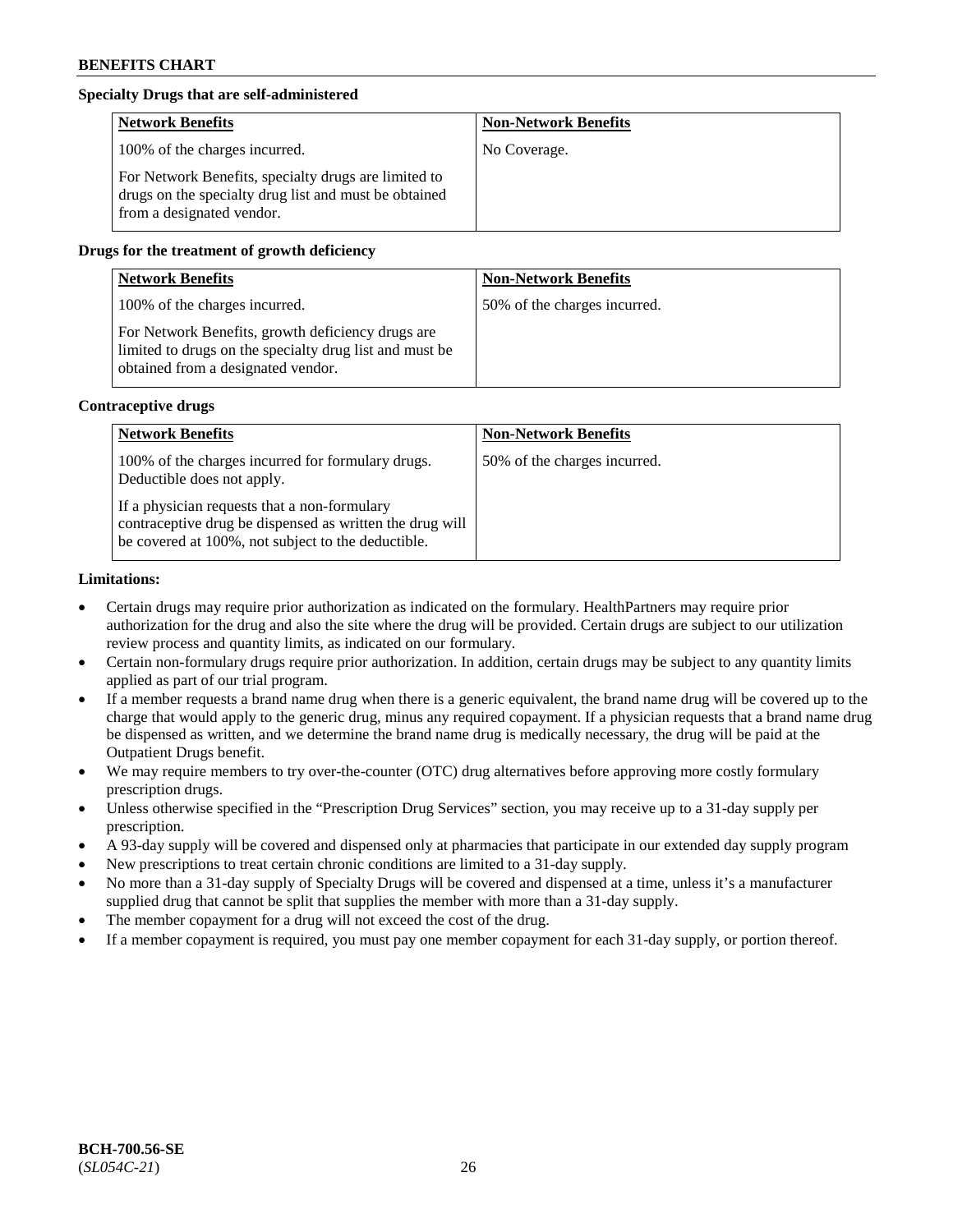## **Specialty Drugs that are self-administered**

| <b>Network Benefits</b>                                                                                                                    | <b>Non-Network Benefits</b> |
|--------------------------------------------------------------------------------------------------------------------------------------------|-----------------------------|
| 100% of the charges incurred.                                                                                                              | No Coverage.                |
| For Network Benefits, specialty drugs are limited to<br>drugs on the specialty drug list and must be obtained<br>from a designated vendor. |                             |

## **Drugs for the treatment of growth deficiency**

| <b>Network Benefits</b>                                                                                                                            | <b>Non-Network Benefits</b>  |
|----------------------------------------------------------------------------------------------------------------------------------------------------|------------------------------|
| 100% of the charges incurred.                                                                                                                      | 50% of the charges incurred. |
| For Network Benefits, growth deficiency drugs are<br>limited to drugs on the specialty drug list and must be<br>obtained from a designated vendor. |                              |

#### **Contraceptive drugs**

| <b>Network Benefits</b>                                                                                                                                        | <b>Non-Network Benefits</b>  |
|----------------------------------------------------------------------------------------------------------------------------------------------------------------|------------------------------|
| 100% of the charges incurred for formulary drugs.<br>Deductible does not apply.                                                                                | 50% of the charges incurred. |
| If a physician requests that a non-formulary<br>contraceptive drug be dispensed as written the drug will<br>be covered at 100%, not subject to the deductible. |                              |

#### **Limitations:**

- Certain drugs may require prior authorization as indicated on the formulary. HealthPartners may require prior authorization for the drug and also the site where the drug will be provided. Certain drugs are subject to our utilization review process and quantity limits, as indicated on our formulary.
- Certain non-formulary drugs require prior authorization. In addition, certain drugs may be subject to any quantity limits applied as part of our trial program.
- If a member requests a brand name drug when there is a generic equivalent, the brand name drug will be covered up to the charge that would apply to the generic drug, minus any required copayment. If a physician requests that a brand name drug be dispensed as written, and we determine the brand name drug is medically necessary, the drug will be paid at the Outpatient Drugs benefit.
- We may require members to try over-the-counter (OTC) drug alternatives before approving more costly formulary prescription drugs.
- Unless otherwise specified in the "Prescription Drug Services" section, you may receive up to a 31-day supply per prescription.
- A 93-day supply will be covered and dispensed only at pharmacies that participate in our extended day supply program
- New prescriptions to treat certain chronic conditions are limited to a 31-day supply.
- No more than a 31-day supply of Specialty Drugs will be covered and dispensed at a time, unless it's a manufacturer supplied drug that cannot be split that supplies the member with more than a 31-day supply.
- The member copayment for a drug will not exceed the cost of the drug.
- If a member copayment is required, you must pay one member copayment for each 31-day supply, or portion thereof.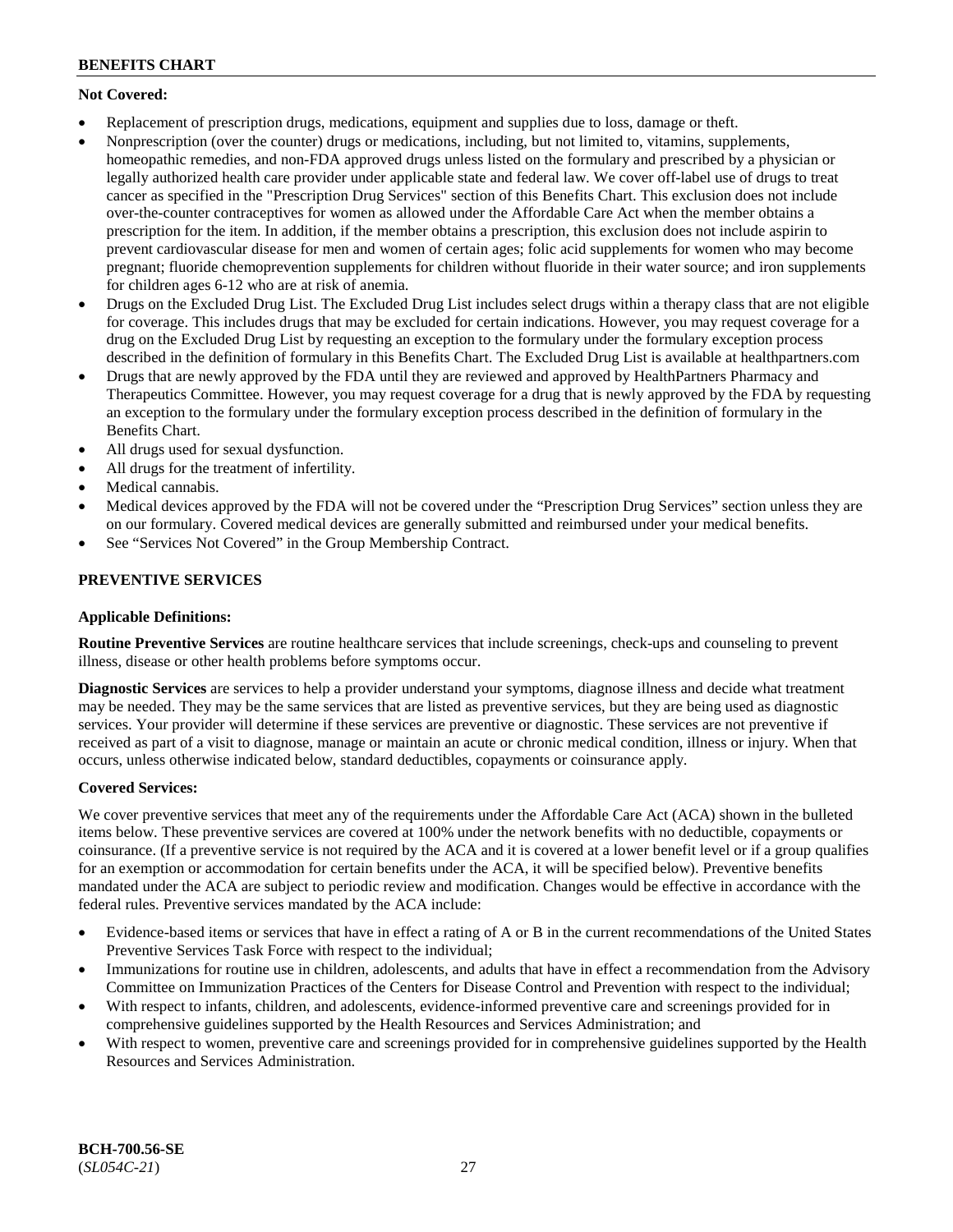## **Not Covered:**

- Replacement of prescription drugs, medications, equipment and supplies due to loss, damage or theft.
- Nonprescription (over the counter) drugs or medications, including, but not limited to, vitamins, supplements, homeopathic remedies, and non-FDA approved drugs unless listed on the formulary and prescribed by a physician or legally authorized health care provider under applicable state and federal law. We cover off-label use of drugs to treat cancer as specified in the "Prescription Drug Services" section of this Benefits Chart. This exclusion does not include over-the-counter contraceptives for women as allowed under the Affordable Care Act when the member obtains a prescription for the item. In addition, if the member obtains a prescription, this exclusion does not include aspirin to prevent cardiovascular disease for men and women of certain ages; folic acid supplements for women who may become pregnant; fluoride chemoprevention supplements for children without fluoride in their water source; and iron supplements for children ages 6-12 who are at risk of anemia.
- Drugs on the Excluded Drug List. The Excluded Drug List includes select drugs within a therapy class that are not eligible for coverage. This includes drugs that may be excluded for certain indications. However, you may request coverage for a drug on the Excluded Drug List by requesting an exception to the formulary under the formulary exception process described in the definition of formulary in this Benefits Chart. The Excluded Drug List is available at [healthpartners.com](http://www.healthpartners.com/)
- Drugs that are newly approved by the FDA until they are reviewed and approved by HealthPartners Pharmacy and Therapeutics Committee. However, you may request coverage for a drug that is newly approved by the FDA by requesting an exception to the formulary under the formulary exception process described in the definition of formulary in the Benefits Chart.
- All drugs used for sexual dysfunction.
- All drugs for the treatment of infertility.
- Medical cannabis.
- Medical devices approved by the FDA will not be covered under the "Prescription Drug Services" section unless they are on our formulary. Covered medical devices are generally submitted and reimbursed under your medical benefits.
- See "Services Not Covered" in the Group Membership Contract.

## **PREVENTIVE SERVICES**

## **Applicable Definitions:**

**Routine Preventive Services** are routine healthcare services that include screenings, check-ups and counseling to prevent illness, disease or other health problems before symptoms occur.

**Diagnostic Services** are services to help a provider understand your symptoms, diagnose illness and decide what treatment may be needed. They may be the same services that are listed as preventive services, but they are being used as diagnostic services. Your provider will determine if these services are preventive or diagnostic. These services are not preventive if received as part of a visit to diagnose, manage or maintain an acute or chronic medical condition, illness or injury. When that occurs, unless otherwise indicated below, standard deductibles, copayments or coinsurance apply.

## **Covered Services:**

We cover preventive services that meet any of the requirements under the Affordable Care Act (ACA) shown in the bulleted items below. These preventive services are covered at 100% under the network benefits with no deductible, copayments or coinsurance. (If a preventive service is not required by the ACA and it is covered at a lower benefit level or if a group qualifies for an exemption or accommodation for certain benefits under the ACA, it will be specified below). Preventive benefits mandated under the ACA are subject to periodic review and modification. Changes would be effective in accordance with the federal rules. Preventive services mandated by the ACA include:

- Evidence-based items or services that have in effect a rating of A or B in the current recommendations of the United States Preventive Services Task Force with respect to the individual;
- Immunizations for routine use in children, adolescents, and adults that have in effect a recommendation from the Advisory Committee on Immunization Practices of the Centers for Disease Control and Prevention with respect to the individual;
- With respect to infants, children, and adolescents, evidence-informed preventive care and screenings provided for in comprehensive guidelines supported by the Health Resources and Services Administration; and
- With respect to women, preventive care and screenings provided for in comprehensive guidelines supported by the Health Resources and Services Administration.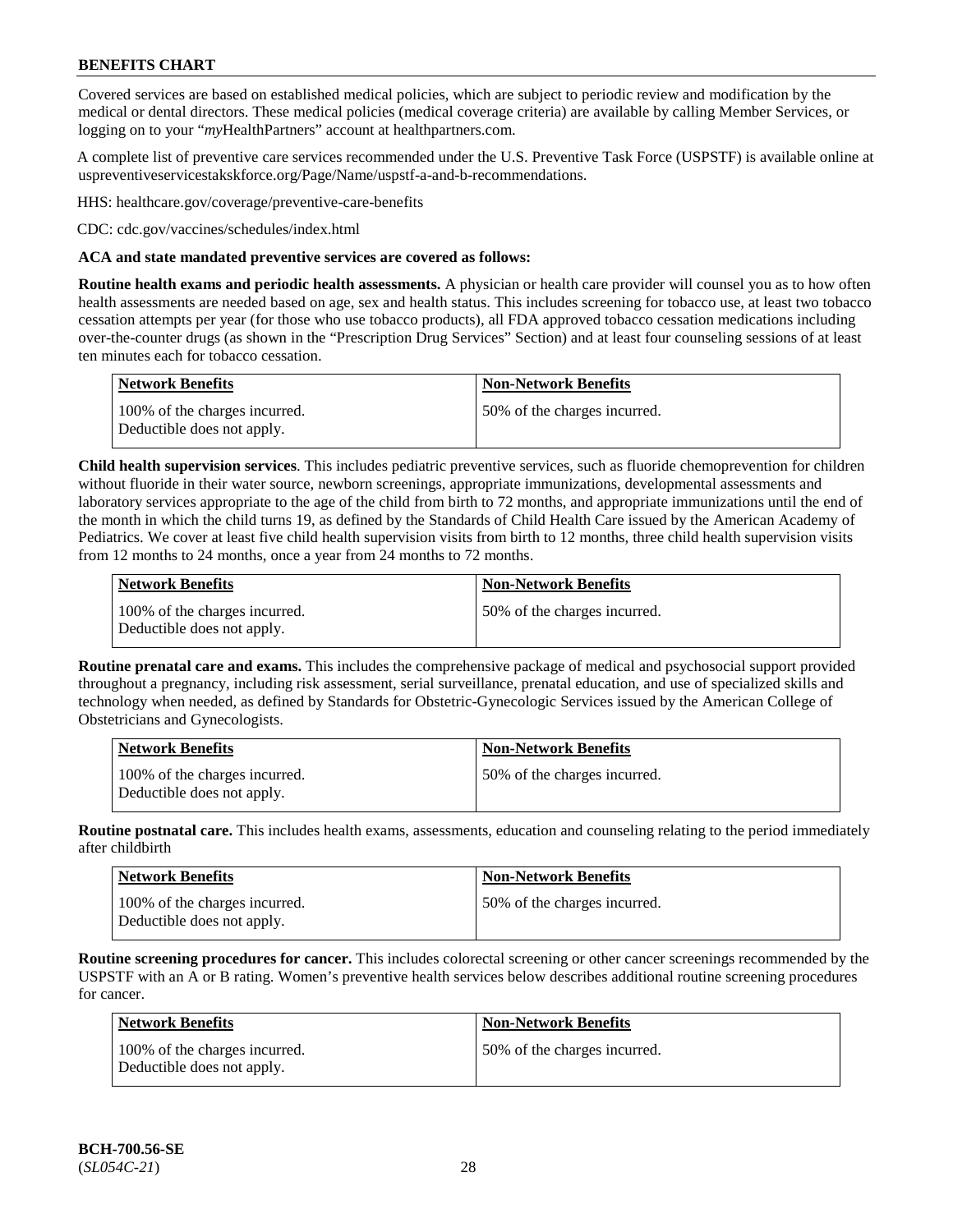Covered services are based on established medical policies, which are subject to periodic review and modification by the medical or dental directors. These medical policies (medical coverage criteria) are available by calling Member Services, or logging on to your "*my*HealthPartners" account at [healthpartners.com.](http://www.healthpartners.com/)

A complete list of preventive care services recommended under the U.S. Preventive Task Force (USPSTF) is available online at [uspreventiveservicestakskforce.org/Page/Name/uspstf-a-and-b-recommendations.](https://www.uspreventiveservicestaskforce.org/Page/Name/uspstf-a-and-b-recommendations-by-date/)

HHS: [healthcare.gov/coverage/preventive-care-benefits](https://www.healthcare.gov/coverage/preventive-care-benefits/)

CDC: [cdc.gov/vaccines/schedules/index.html](https://www.cdc.gov/vaccines/schedules/index.html)

### **ACA and state mandated preventive services are covered as follows:**

**Routine health exams and periodic health assessments.** A physician or health care provider will counsel you as to how often health assessments are needed based on age, sex and health status. This includes screening for tobacco use, at least two tobacco cessation attempts per year (for those who use tobacco products), all FDA approved tobacco cessation medications including over-the-counter drugs (as shown in the "Prescription Drug Services" Section) and at least four counseling sessions of at least ten minutes each for tobacco cessation.

| <b>Network Benefits</b>                                     | <b>Non-Network Benefits</b>  |
|-------------------------------------------------------------|------------------------------|
| 100% of the charges incurred.<br>Deductible does not apply. | 50% of the charges incurred. |

**Child health supervision services**. This includes pediatric preventive services, such as fluoride chemoprevention for children without fluoride in their water source, newborn screenings, appropriate immunizations, developmental assessments and laboratory services appropriate to the age of the child from birth to 72 months, and appropriate immunizations until the end of the month in which the child turns 19, as defined by the Standards of Child Health Care issued by the American Academy of Pediatrics. We cover at least five child health supervision visits from birth to 12 months, three child health supervision visits from 12 months to 24 months, once a year from 24 months to 72 months.

| Network Benefits                                            | <b>Non-Network Benefits</b>  |
|-------------------------------------------------------------|------------------------------|
| 100% of the charges incurred.<br>Deductible does not apply. | 50% of the charges incurred. |

**Routine prenatal care and exams.** This includes the comprehensive package of medical and psychosocial support provided throughout a pregnancy, including risk assessment, serial surveillance, prenatal education, and use of specialized skills and technology when needed, as defined by Standards for Obstetric-Gynecologic Services issued by the American College of Obstetricians and Gynecologists.

| <b>Network Benefits</b>                                     | <b>Non-Network Benefits</b>   |
|-------------------------------------------------------------|-------------------------------|
| 100% of the charges incurred.<br>Deductible does not apply. | 150% of the charges incurred. |

**Routine postnatal care.** This includes health exams, assessments, education and counseling relating to the period immediately after childbirth

| <b>Network Benefits</b>                                     | <b>Non-Network Benefits</b>  |
|-------------------------------------------------------------|------------------------------|
| 100% of the charges incurred.<br>Deductible does not apply. | 50% of the charges incurred. |

**Routine screening procedures for cancer.** This includes colorectal screening or other cancer screenings recommended by the USPSTF with an A or B rating. Women's preventive health services below describes additional routine screening procedures for cancer.

| Network Benefits                                            | <b>Non-Network Benefits</b>  |
|-------------------------------------------------------------|------------------------------|
| 100% of the charges incurred.<br>Deductible does not apply. | 50% of the charges incurred. |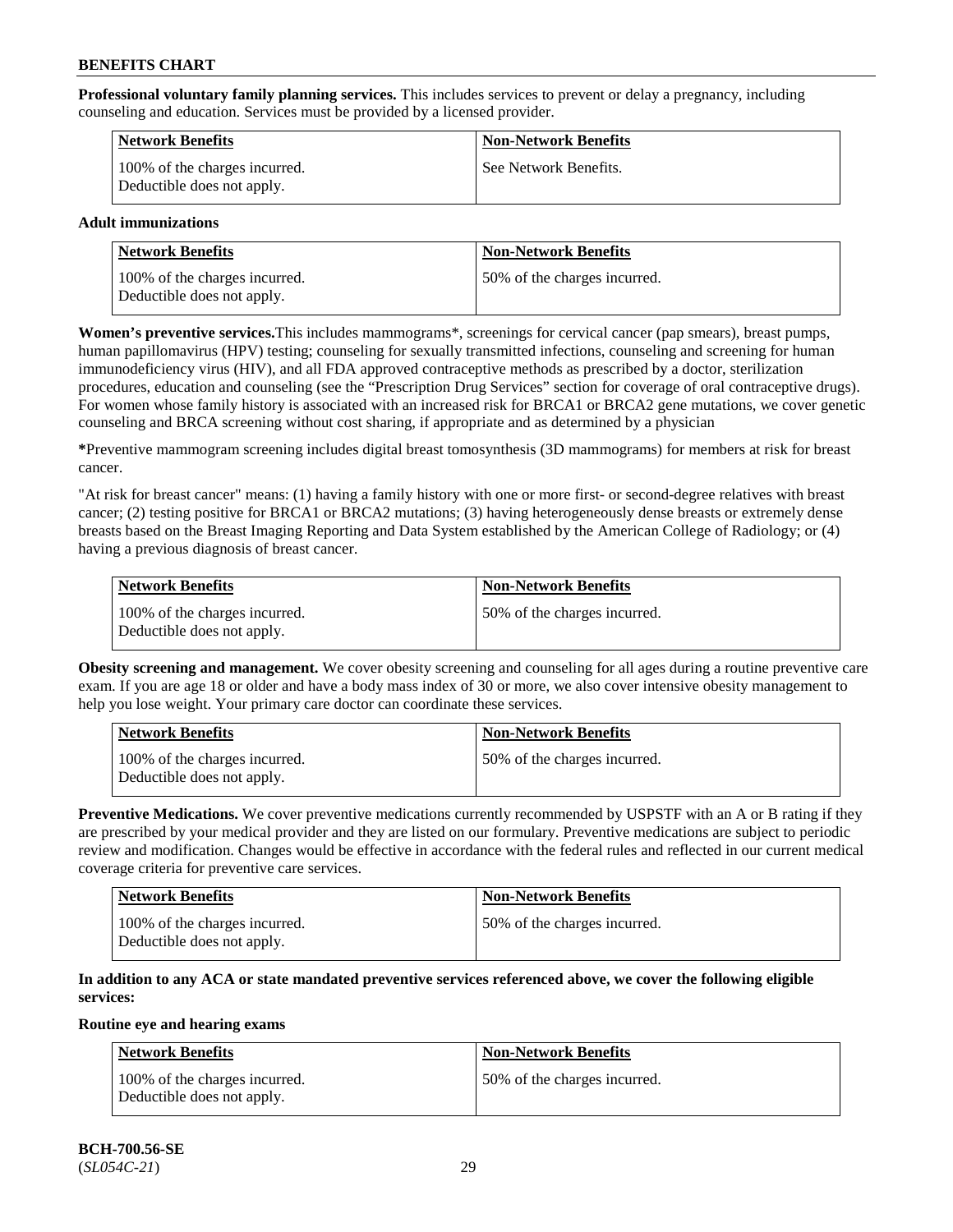**Professional voluntary family planning services.** This includes services to prevent or delay a pregnancy, including counseling and education. Services must be provided by a licensed provider.

| <b>Network Benefits</b>                                     | <b>Non-Network Benefits</b> |
|-------------------------------------------------------------|-----------------------------|
| 100% of the charges incurred.<br>Deductible does not apply. | See Network Benefits.       |

## **Adult immunizations**

| Network Benefits                                            | <b>Non-Network Benefits</b>  |
|-------------------------------------------------------------|------------------------------|
| 100% of the charges incurred.<br>Deductible does not apply. | 50% of the charges incurred. |

**Women's preventive services.**This includes mammograms\*, screenings for cervical cancer (pap smears), breast pumps, human papillomavirus (HPV) testing; counseling for sexually transmitted infections, counseling and screening for human immunodeficiency virus (HIV), and all FDA approved contraceptive methods as prescribed by a doctor, sterilization procedures, education and counseling (see the "Prescription Drug Services" section for coverage of oral contraceptive drugs). For women whose family history is associated with an increased risk for BRCA1 or BRCA2 gene mutations, we cover genetic counseling and BRCA screening without cost sharing, if appropriate and as determined by a physician

**\***Preventive mammogram screening includes digital breast tomosynthesis (3D mammograms) for members at risk for breast cancer.

"At risk for breast cancer" means: (1) having a family history with one or more first- or second-degree relatives with breast cancer; (2) testing positive for BRCA1 or BRCA2 mutations; (3) having heterogeneously dense breasts or extremely dense breasts based on the Breast Imaging Reporting and Data System established by the American College of Radiology; or (4) having a previous diagnosis of breast cancer.

| Network Benefits                                            | <b>Non-Network Benefits</b>  |
|-------------------------------------------------------------|------------------------------|
| 100% of the charges incurred.<br>Deductible does not apply. | 50% of the charges incurred. |

**Obesity screening and management.** We cover obesity screening and counseling for all ages during a routine preventive care exam. If you are age 18 or older and have a body mass index of 30 or more, we also cover intensive obesity management to help you lose weight. Your primary care doctor can coordinate these services.

| Network Benefits                                            | <b>Non-Network Benefits</b>  |
|-------------------------------------------------------------|------------------------------|
| 100% of the charges incurred.<br>Deductible does not apply. | 50% of the charges incurred. |

**Preventive Medications.** We cover preventive medications currently recommended by USPSTF with an A or B rating if they are prescribed by your medical provider and they are listed on our formulary. Preventive medications are subject to periodic review and modification. Changes would be effective in accordance with the federal rules and reflected in our current medical coverage criteria for preventive care services.

| <b>Network Benefits</b>                                     | <b>Non-Network Benefits</b>   |
|-------------------------------------------------------------|-------------------------------|
| 100% of the charges incurred.<br>Deductible does not apply. | 150% of the charges incurred. |

## **In addition to any ACA or state mandated preventive services referenced above, we cover the following eligible services:**

#### **Routine eye and hearing exams**

| <b>Network Benefits</b>                                     | <b>Non-Network Benefits</b>  |
|-------------------------------------------------------------|------------------------------|
| 100% of the charges incurred.<br>Deductible does not apply. | 50% of the charges incurred. |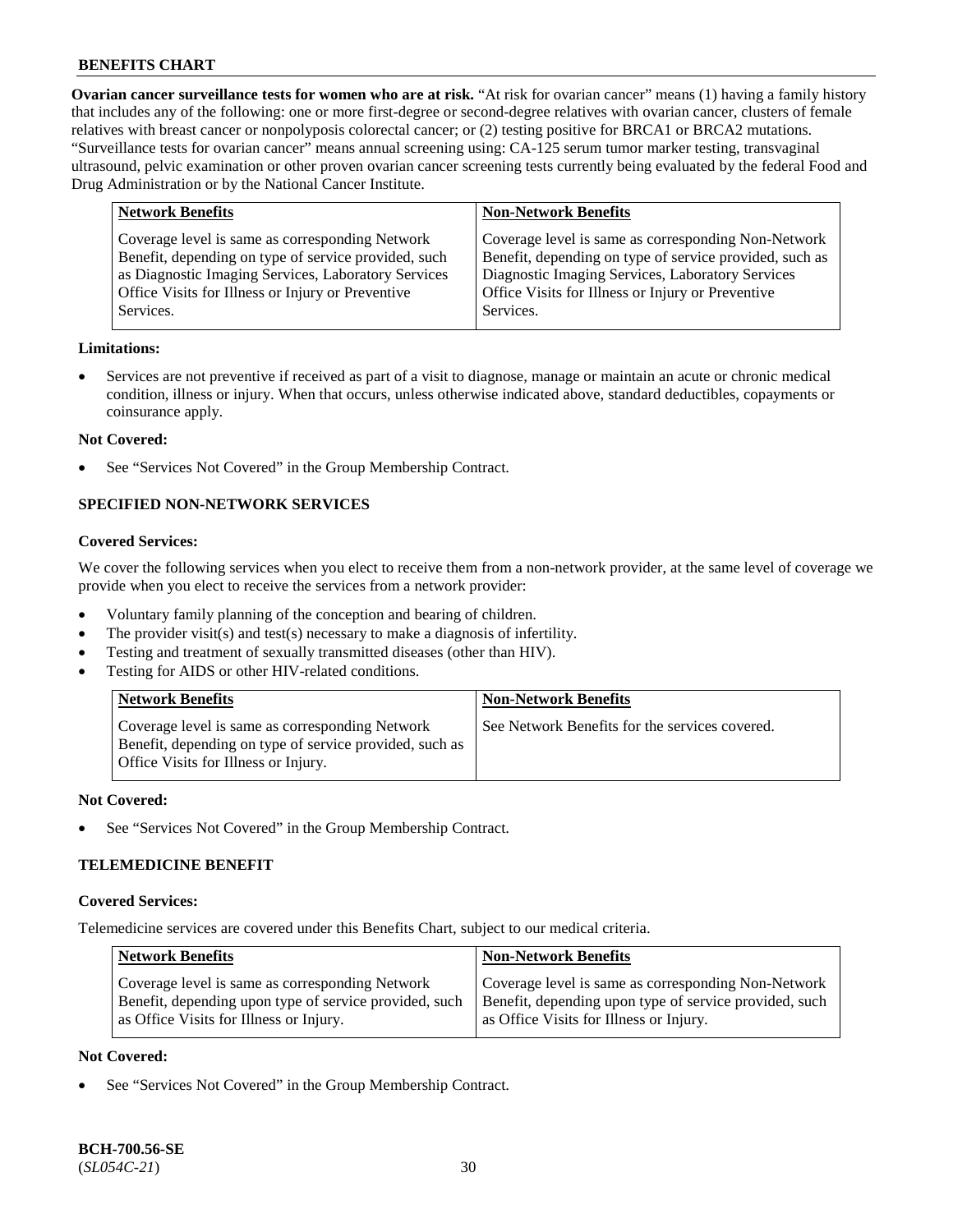**Ovarian cancer surveillance tests for women who are at risk.** "At risk for ovarian cancer" means (1) having a family history that includes any of the following: one or more first-degree or second-degree relatives with ovarian cancer, clusters of female relatives with breast cancer or nonpolyposis colorectal cancer; or (2) testing positive for BRCA1 or BRCA2 mutations. "Surveillance tests for ovarian cancer" means annual screening using: CA-125 serum tumor marker testing, transvaginal ultrasound, pelvic examination or other proven ovarian cancer screening tests currently being evaluated by the federal Food and Drug Administration or by the National Cancer Institute.

| <b>Network Benefits</b>                              | <b>Non-Network Benefits</b>                             |
|------------------------------------------------------|---------------------------------------------------------|
| Coverage level is same as corresponding Network      | Coverage level is same as corresponding Non-Network     |
| Benefit, depending on type of service provided, such | Benefit, depending on type of service provided, such as |
| as Diagnostic Imaging Services, Laboratory Services  | Diagnostic Imaging Services, Laboratory Services        |
| Office Visits for Illness or Injury or Preventive    | Office Visits for Illness or Injury or Preventive       |
| Services.                                            | Services.                                               |

#### **Limitations:**

• Services are not preventive if received as part of a visit to diagnose, manage or maintain an acute or chronic medical condition, illness or injury. When that occurs, unless otherwise indicated above, standard deductibles, copayments or coinsurance apply.

#### **Not Covered:**

See "Services Not Covered" in the Group Membership Contract.

## **SPECIFIED NON-NETWORK SERVICES**

## **Covered Services:**

We cover the following services when you elect to receive them from a non-network provider, at the same level of coverage we provide when you elect to receive the services from a network provider:

- Voluntary family planning of the conception and bearing of children.
- The provider visit(s) and test(s) necessary to make a diagnosis of infertility.
- Testing and treatment of sexually transmitted diseases (other than HIV).
- Testing for AIDS or other HIV-related conditions.

| <b>Network Benefits</b>                                                                                                                            | <b>Non-Network Benefits</b>                    |
|----------------------------------------------------------------------------------------------------------------------------------------------------|------------------------------------------------|
| Coverage level is same as corresponding Network<br>Benefit, depending on type of service provided, such as<br>Office Visits for Illness or Injury. | See Network Benefits for the services covered. |

#### **Not Covered:**

See "Services Not Covered" in the Group Membership Contract.

## **TELEMEDICINE BENEFIT**

#### **Covered Services:**

Telemedicine services are covered under this Benefits Chart, subject to our medical criteria.

| <b>Network Benefits</b>                                | <b>Non-Network Benefits</b>                            |
|--------------------------------------------------------|--------------------------------------------------------|
| Coverage level is same as corresponding Network        | Coverage level is same as corresponding Non-Network    |
| Benefit, depending upon type of service provided, such | Benefit, depending upon type of service provided, such |
| as Office Visits for Illness or Injury.                | as Office Visits for Illness or Injury.                |

### **Not Covered:**

See "Services Not Covered" in the Group Membership Contract.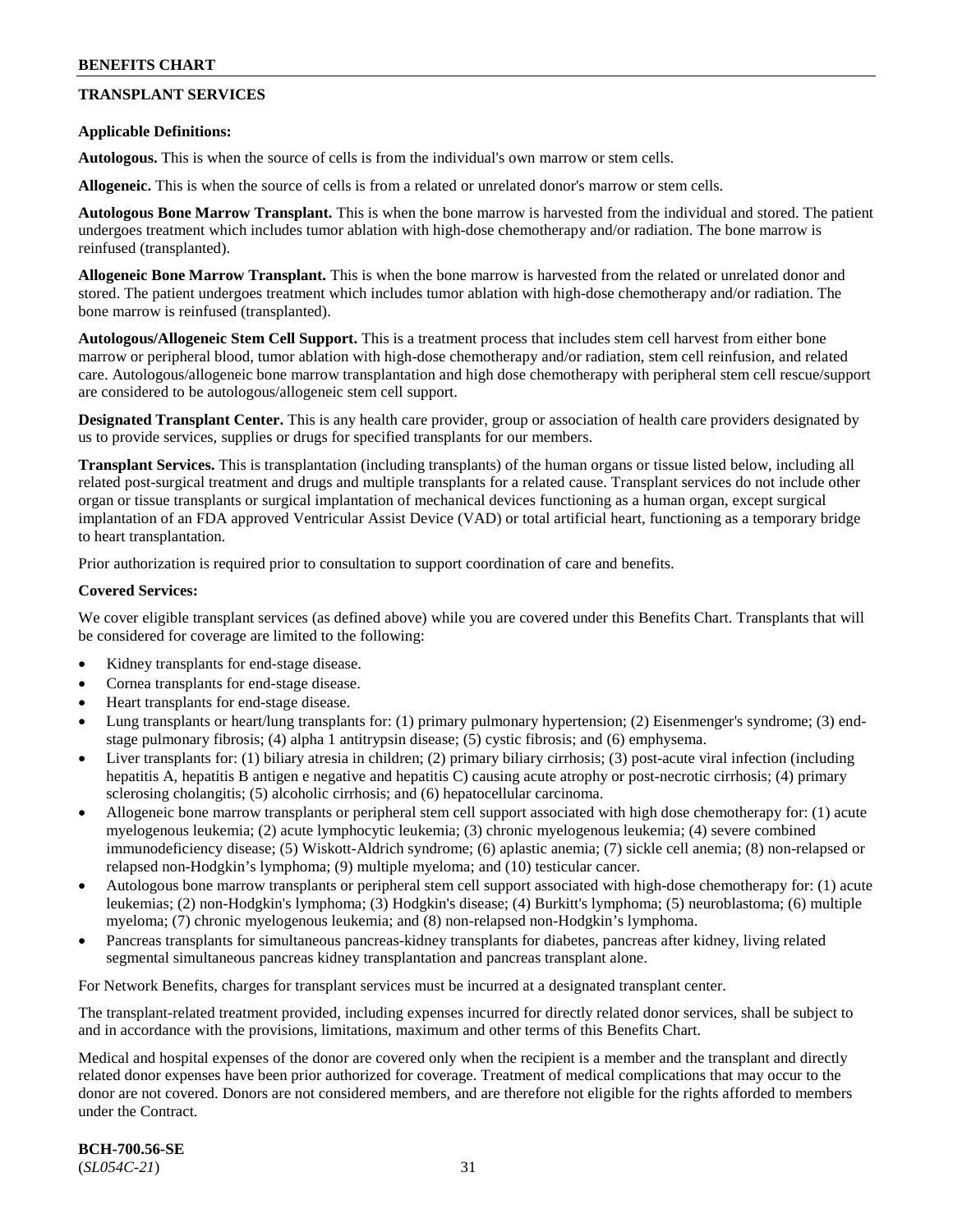## **TRANSPLANT SERVICES**

### **Applicable Definitions:**

**Autologous.** This is when the source of cells is from the individual's own marrow or stem cells.

**Allogeneic.** This is when the source of cells is from a related or unrelated donor's marrow or stem cells.

**Autologous Bone Marrow Transplant.** This is when the bone marrow is harvested from the individual and stored. The patient undergoes treatment which includes tumor ablation with high-dose chemotherapy and/or radiation. The bone marrow is reinfused (transplanted).

**Allogeneic Bone Marrow Transplant.** This is when the bone marrow is harvested from the related or unrelated donor and stored. The patient undergoes treatment which includes tumor ablation with high-dose chemotherapy and/or radiation. The bone marrow is reinfused (transplanted).

**Autologous/Allogeneic Stem Cell Support.** This is a treatment process that includes stem cell harvest from either bone marrow or peripheral blood, tumor ablation with high-dose chemotherapy and/or radiation, stem cell reinfusion, and related care. Autologous/allogeneic bone marrow transplantation and high dose chemotherapy with peripheral stem cell rescue/support are considered to be autologous/allogeneic stem cell support.

**Designated Transplant Center.** This is any health care provider, group or association of health care providers designated by us to provide services, supplies or drugs for specified transplants for our members.

**Transplant Services.** This is transplantation (including transplants) of the human organs or tissue listed below, including all related post-surgical treatment and drugs and multiple transplants for a related cause. Transplant services do not include other organ or tissue transplants or surgical implantation of mechanical devices functioning as a human organ, except surgical implantation of an FDA approved Ventricular Assist Device (VAD) or total artificial heart, functioning as a temporary bridge to heart transplantation.

Prior authorization is required prior to consultation to support coordination of care and benefits.

#### **Covered Services:**

We cover eligible transplant services (as defined above) while you are covered under this Benefits Chart. Transplants that will be considered for coverage are limited to the following:

- Kidney transplants for end-stage disease.
- Cornea transplants for end-stage disease.
- Heart transplants for end-stage disease.
- Lung transplants or heart/lung transplants for: (1) primary pulmonary hypertension; (2) Eisenmenger's syndrome; (3) endstage pulmonary fibrosis; (4) alpha 1 antitrypsin disease; (5) cystic fibrosis; and (6) emphysema.
- Liver transplants for: (1) biliary atresia in children; (2) primary biliary cirrhosis; (3) post-acute viral infection (including hepatitis A, hepatitis B antigen e negative and hepatitis C) causing acute atrophy or post-necrotic cirrhosis; (4) primary sclerosing cholangitis; (5) alcoholic cirrhosis; and (6) hepatocellular carcinoma.
- Allogeneic bone marrow transplants or peripheral stem cell support associated with high dose chemotherapy for: (1) acute myelogenous leukemia; (2) acute lymphocytic leukemia; (3) chronic myelogenous leukemia; (4) severe combined immunodeficiency disease; (5) Wiskott-Aldrich syndrome; (6) aplastic anemia; (7) sickle cell anemia; (8) non-relapsed or relapsed non-Hodgkin's lymphoma; (9) multiple myeloma; and (10) testicular cancer.
- Autologous bone marrow transplants or peripheral stem cell support associated with high-dose chemotherapy for: (1) acute leukemias; (2) non-Hodgkin's lymphoma; (3) Hodgkin's disease; (4) Burkitt's lymphoma; (5) neuroblastoma; (6) multiple myeloma; (7) chronic myelogenous leukemia; and (8) non-relapsed non-Hodgkin's lymphoma.
- Pancreas transplants for simultaneous pancreas-kidney transplants for diabetes, pancreas after kidney, living related segmental simultaneous pancreas kidney transplantation and pancreas transplant alone.

For Network Benefits, charges for transplant services must be incurred at a designated transplant center.

The transplant-related treatment provided, including expenses incurred for directly related donor services, shall be subject to and in accordance with the provisions, limitations, maximum and other terms of this Benefits Chart.

Medical and hospital expenses of the donor are covered only when the recipient is a member and the transplant and directly related donor expenses have been prior authorized for coverage. Treatment of medical complications that may occur to the donor are not covered. Donors are not considered members, and are therefore not eligible for the rights afforded to members under the Contract.